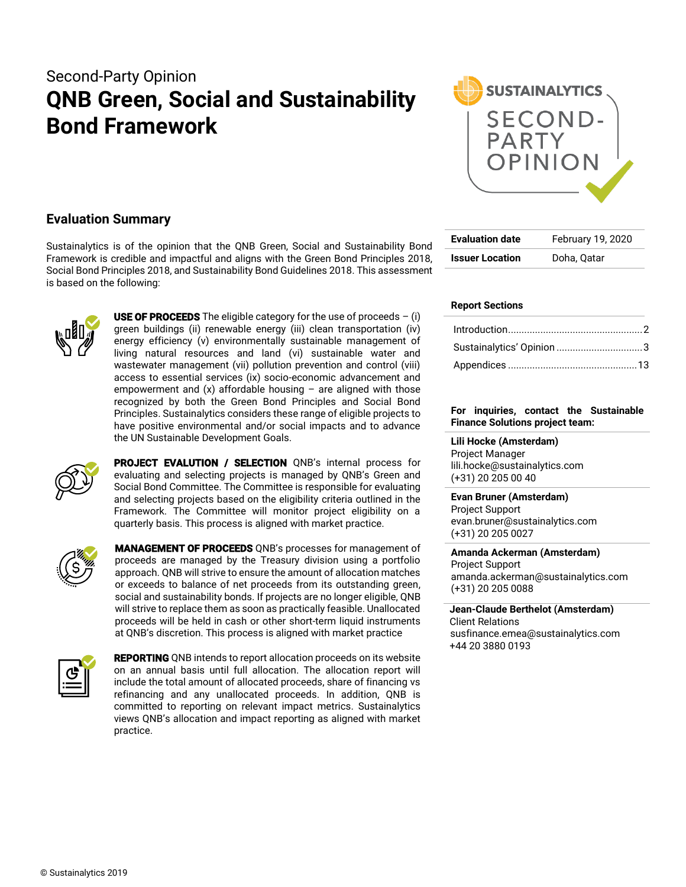# Second-Party Opinion **QNB Green, Social and Sustainability Bond Framework**



### **Evaluation Summary**

Sustainalytics is of the opinion that the QNB Green, Social and Sustainability Bond Framework is credible and impactful and aligns with the Green Bond Principles 2018, Social Bond Principles 2018, and Sustainability Bond Guidelines 2018. This assessment is based on the following:



**USE OF PROCEEDS** The eligible category for the use of proceeds  $-$  (i) green buildings (ii) renewable energy (iii) clean transportation (iv) energy efficiency (v) environmentally sustainable management of living natural resources and land (vi) sustainable water and wastewater management (vii) pollution prevention and control (viii) access to essential services (ix) socio-economic advancement and empowerment and  $(x)$  affordable housing – are aligned with those recognized by both the Green Bond Principles and Social Bond Principles. Sustainalytics considers these range of eligible projects to have positive environmental and/or social impacts and to advance the UN Sustainable Development Goals.



PROJECT EVALUTION / SELECTION QNB's internal process for evaluating and selecting projects is managed by QNB's Green and Social Bond Committee. The Committee is responsible for evaluating and selecting projects based on the eligibility criteria outlined in the Framework. The Committee will monitor project eligibility on a quarterly basis. This process is aligned with market practice.



MANAGEMENT OF PROCEEDS QNB's processes for management of proceeds are managed by the Treasury division using a portfolio approach. QNB will strive to ensure the amount of allocation matches or exceeds to balance of net proceeds from its outstanding green, social and sustainability bonds. If projects are no longer eligible, QNB will strive to replace them as soon as practically feasible. Unallocated proceeds will be held in cash or other short-term liquid instruments at QNB's discretion. This process is aligned with market practice



**REPORTING** QNB intends to report allocation proceeds on its website on an annual basis until full allocation. The allocation report will include the total amount of allocated proceeds, share of financing vs refinancing and any unallocated proceeds. In addition, QNB is committed to reporting on relevant impact metrics. Sustainalytics views QNB's allocation and impact reporting as aligned with market practice.

| <b>Evaluation date</b> | February 19, 2020 |
|------------------------|-------------------|
| <b>Issuer Location</b> | Doha, Qatar       |

### **Report Sections**

#### **For inquiries, contact the Sustainable Finance Solutions project team:**

**Lili Hocke (Amsterdam)** Project Manager lili.hocke@sustainalytics.com (+31) 20 205 00 40

**Evan Bruner (Amsterdam)** Project Support evan.bruner@sustainalytics.com (+31) 20 205 0027

**Amanda Ackerman (Amsterdam)** Project Support amanda.ackerman@sustainalytics.com (+31) 20 205 0088

**Jean-Claude Berthelot (Amsterdam)** Client Relations susfinance.emea@sustainalytics.com +44 20 3880 0193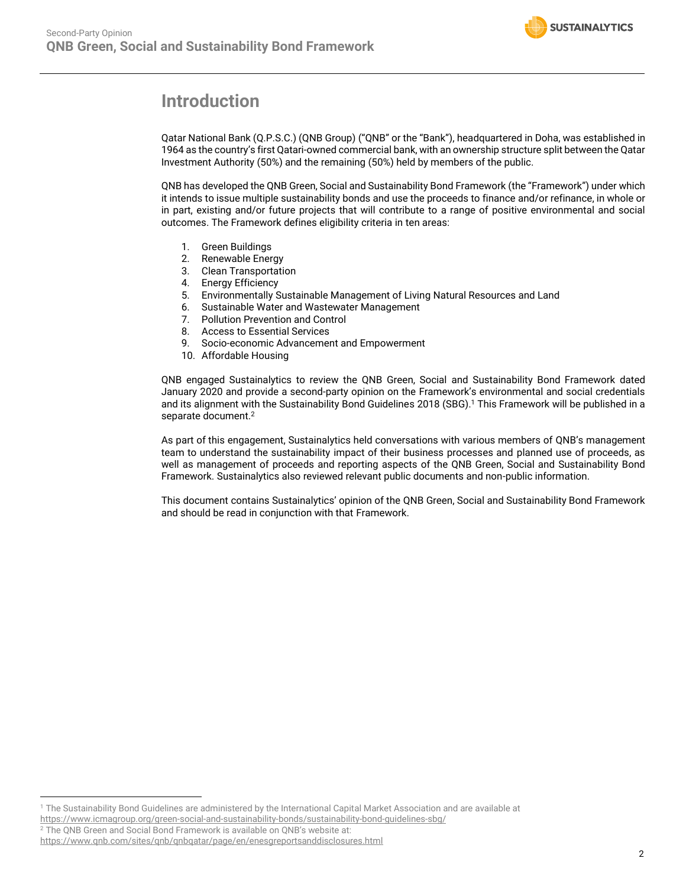

# <span id="page-1-0"></span>**Introduction**

Qatar National Bank (Q.P.S.C.) (QNB Group) ("QNB" or the "Bank"), headquartered in Doha, was established in 1964 as the country's first Qatari-owned commercial bank, with an ownership structure split between the Qatar Investment Authority (50%) and the remaining (50%) held by members of the public.

QNB has developed the QNB Green, Social and Sustainability Bond Framework (the "Framework") under which it intends to issue multiple sustainability bonds and use the proceeds to finance and/or refinance, in whole or in part, existing and/or future projects that will contribute to a range of positive environmental and social outcomes. The Framework defines eligibility criteria in ten areas:

- 1. Green Buildings
- 2. Renewable Energy
- 3. Clean Transportation
- 4. Energy Efficiency
- 5. Environmentally Sustainable Management of Living Natural Resources and Land
- 6. Sustainable Water and Wastewater Management
- 7. Pollution Prevention and Control
- 8. Access to Essential Services
- 9. Socio-economic Advancement and Empowerment
- 10. Affordable Housing

QNB engaged Sustainalytics to review the QNB Green, Social and Sustainability Bond Framework dated January 2020 and provide a second-party opinion on the Framework's environmental and social credentials and its alignment with the Sustainability Bond Guidelines 2018 (SBG).<sup>1</sup> This Framework will be published in a separate document.<sup>2</sup>

As part of this engagement, Sustainalytics held conversations with various members of QNB's management team to understand the sustainability impact of their business processes and planned use of proceeds, as well as management of proceeds and reporting aspects of the QNB Green, Social and Sustainability Bond Framework. Sustainalytics also reviewed relevant public documents and non-public information.

This document contains Sustainalytics' opinion of the QNB Green, Social and Sustainability Bond Framework and should be read in conjunction with that Framework.

<sup>2</sup> The QNB Green and Social Bond Framework is available on QNB's website at:

<sup>1</sup> The Sustainability Bond Guidelines are administered by the International Capital Market Association and are available at

<https://www.icmagroup.org/green-social-and-sustainability-bonds/sustainability-bond-guidelines-sbg/>

<https://www.qnb.com/sites/qnb/qnbqatar/page/en/enesgreportsanddisclosures.html>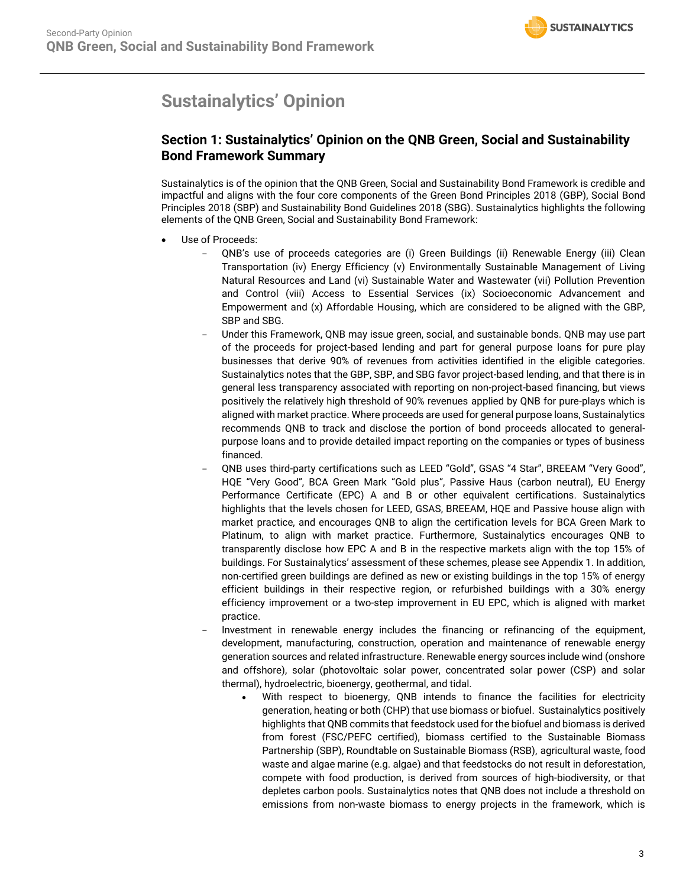# <span id="page-2-0"></span>**Sustainalytics' Opinion**

### **Section 1: Sustainalytics' Opinion on the QNB Green, Social and Sustainability Bond Framework Summary**

Sustainalytics is of the opinion that the QNB Green, Social and Sustainability Bond Framework is credible and impactful and aligns with the four core components of the Green Bond Principles 2018 (GBP), Social Bond Principles 2018 (SBP) and Sustainability Bond Guidelines 2018 (SBG). Sustainalytics highlights the following elements of the QNB Green, Social and Sustainability Bond Framework:

- Use of Proceeds:
	- QNB's use of proceeds categories are (i) Green Buildings (ii) Renewable Energy (iii) Clean Transportation (iv) Energy Efficiency (v) Environmentally Sustainable Management of Living Natural Resources and Land (vi) Sustainable Water and Wastewater (vii) Pollution Prevention and Control (viii) Access to Essential Services (ix) Socioeconomic Advancement and Empowerment and (x) Affordable Housing, which are considered to be aligned with the GBP, SBP and SBG.
	- Under this Framework, QNB may issue green, social, and sustainable bonds. QNB may use part of the proceeds for project-based lending and part for general purpose loans for pure play businesses that derive 90% of revenues from activities identified in the eligible categories. Sustainalytics notes that the GBP, SBP, and SBG favor project-based lending, and that there is in general less transparency associated with reporting on non-project-based financing, but views positively the relatively high threshold of 90% revenues applied by QNB for pure-plays which is aligned with market practice. Where proceeds are used for general purpose loans, Sustainalytics recommends QNB to track and disclose the portion of bond proceeds allocated to generalpurpose loans and to provide detailed impact reporting on the companies or types of business financed.
	- QNB uses third-party certifications such as LEED "Gold", GSAS "4 Star", BREEAM "Very Good", HQE "Very Good", BCA Green Mark "Gold plus", Passive Haus (carbon neutral), EU Energy Performance Certificate (EPC) A and B or other equivalent certifications. Sustainalytics highlights that the levels chosen for LEED, GSAS, BREEAM, HQE and Passive house align with market practice, and encourages QNB to align the certification levels for BCA Green Mark to Platinum, to align with market practice. Furthermore, Sustainalytics encourages QNB to transparently disclose how EPC A and B in the respective markets align with the top 15% of buildings. For Sustainalytics' assessment of these schemes, please see Appendix 1. In addition, non-certified green buildings are defined as new or existing buildings in the top 15% of energy efficient buildings in their respective region, or refurbished buildings with a 30% energy efficiency improvement or a two-step improvement in EU EPC, which is aligned with market practice.
	- Investment in renewable energy includes the financing or refinancing of the equipment, development, manufacturing, construction, operation and maintenance of renewable energy generation sources and related infrastructure. Renewable energy sources include wind (onshore and offshore), solar (photovoltaic solar power, concentrated solar power (CSP) and solar thermal), hydroelectric, bioenergy, geothermal, and tidal.
		- With respect to bioenergy, QNB intends to finance the facilities for electricity generation, heating or both (CHP) that use biomass or biofuel. Sustainalytics positively highlights that QNB commits that feedstock used for the biofuel and biomass is derived from forest (FSC/PEFC certified), biomass certified to the Sustainable Biomass Partnership (SBP), Roundtable on Sustainable Biomass (RSB), agricultural waste, food waste and algae marine (e.g. algae) and that feedstocks do not result in deforestation, compete with food production, is derived from sources of high-biodiversity, or that depletes carbon pools. Sustainalytics notes that QNB does not include a threshold on emissions from non-waste biomass to energy projects in the framework, which is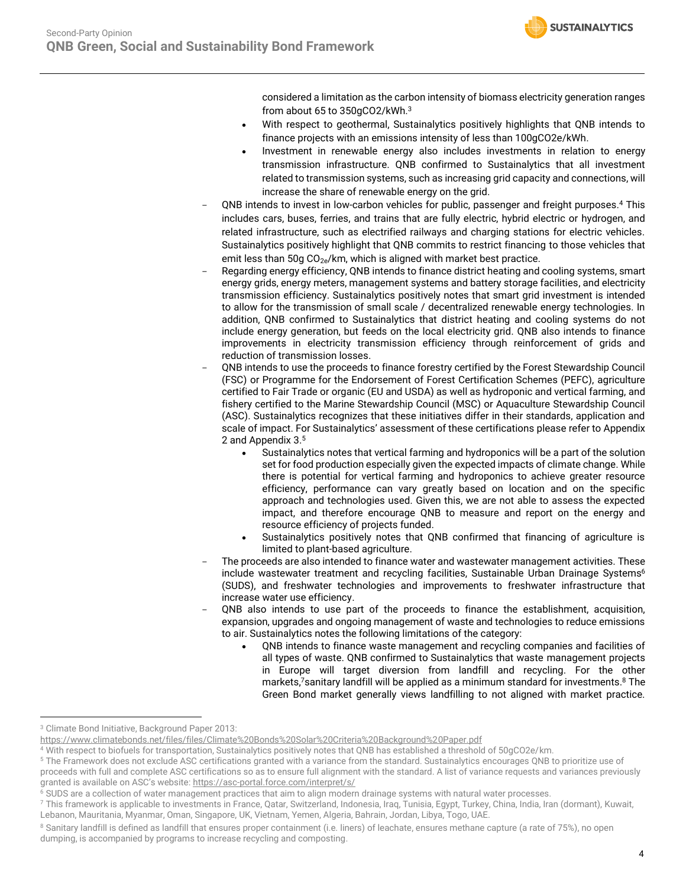**SUSTAINALYTICS** 

considered a limitation as the carbon intensity of biomass electricity generation ranges from about 65 to 350gCO2/kWh. 3

- With respect to geothermal, Sustainalytics positively highlights that QNB intends to finance projects with an emissions intensity of less than 100gCO2e/kWh.
- Investment in renewable energy also includes investments in relation to energy transmission infrastructure. QNB confirmed to Sustainalytics that all investment related to transmission systems, such as increasing grid capacity and connections, will increase the share of renewable energy on the grid.
- QNB intends to invest in low-carbon vehicles for public, passenger and freight purposes.<sup>4</sup> This includes cars, buses, ferries, and trains that are fully electric, hybrid electric or hydrogen, and related infrastructure, such as electrified railways and charging stations for electric vehicles. Sustainalytics positively highlight that QNB commits to restrict financing to those vehicles that emit less than 50g CO<sub>2e</sub>/km, which is aligned with market best practice.
- Regarding energy efficiency, QNB intends to finance district heating and cooling systems, smart energy grids, energy meters, management systems and battery storage facilities, and electricity transmission efficiency. Sustainalytics positively notes that smart grid investment is intended to allow for the transmission of small scale / decentralized renewable energy technologies. In addition, QNB confirmed to Sustainalytics that district heating and cooling systems do not include energy generation, but feeds on the local electricity grid. QNB also intends to finance improvements in electricity transmission efficiency through reinforcement of grids and reduction of transmission losses.
- QNB intends to use the proceeds to finance forestry certified by the Forest Stewardship Council (FSC) or Programme for the Endorsement of Forest Certification Schemes (PEFC), agriculture certified to Fair Trade or organic (EU and USDA) as well as hydroponic and vertical farming, and fishery certified to the Marine Stewardship Council (MSC) or Aquaculture Stewardship Council (ASC). Sustainalytics recognizes that these initiatives differ in their standards, application and scale of impact. For Sustainalytics' assessment of these certifications please refer to Appendix 2 and Appendix 3. 5
	- Sustainalytics notes that vertical farming and hydroponics will be a part of the solution set for food production especially given the expected impacts of climate change. While there is potential for vertical farming and hydroponics to achieve greater resource efficiency, performance can vary greatly based on location and on the specific approach and technologies used. Given this, we are not able to assess the expected impact, and therefore encourage QNB to measure and report on the energy and resource efficiency of projects funded.
	- Sustainalytics positively notes that QNB confirmed that financing of agriculture is limited to plant-based agriculture.
- The proceeds are also intended to finance water and wastewater management activities. These include wastewater treatment and recycling facilities, Sustainable Urban Drainage Systems<sup>6</sup> (SUDS), and freshwater technologies and improvements to freshwater infrastructure that increase water use efficiency.
- QNB also intends to use part of the proceeds to finance the establishment, acquisition, expansion, upgrades and ongoing management of waste and technologies to reduce emissions to air. Sustainalytics notes the following limitations of the category:
	- QNB intends to finance waste management and recycling companies and facilities of all types of waste. QNB confirmed to Sustainalytics that waste management projects in Europe will target diversion from landfill and recycling. For the other markets, <sup>7</sup>sanitary landfill will be applied as a minimum standard for investments. <sup>8</sup> The Green Bond market generally views landfilling to not aligned with market practice.

<sup>3</sup> Climate Bond Initiative, Background Paper 2013:

<https://www.climatebonds.net/files/files/Climate%20Bonds%20Solar%20Criteria%20Background%20Paper.pdf>

<sup>4</sup> With respect to biofuels for transportation, Sustainalytics positively notes that QNB has established a threshold of 50gCO2e/km.

<sup>5</sup> The Framework does not exclude ASC certifications granted with a variance from the standard. Sustainalytics encourages QNB to prioritize use of proceeds with full and complete ASC certifications so as to ensure full alignment with the standard. A list of variance requests and variances previously granted is available on ASC's website: <https://asc-portal.force.com/interpret/s/>

<sup>&</sup>lt;sup>6</sup> SUDS are a collection of water management practices that aim to align modern drainage systems with natural water processes.

 $^7$  This framework is applicable to investments in France, Qatar, Switzerland, Indonesia, Iraq, Tunisia, Egypt, Turkey, China, India, Iran (dormant), Kuwait, Lebanon, Mauritania, Myanmar, Oman, Singapore, UK, Vietnam, Yemen, Algeria, Bahrain, Jordan, Libya, Togo, UAE.

<sup>&</sup>lt;sup>8</sup> Sanitary landfill is defined as landfill that ensures proper containment (i.e. liners) of leachate, ensures methane capture (a rate of 75%), no open dumping, is accompanied by programs to increase recycling and composting.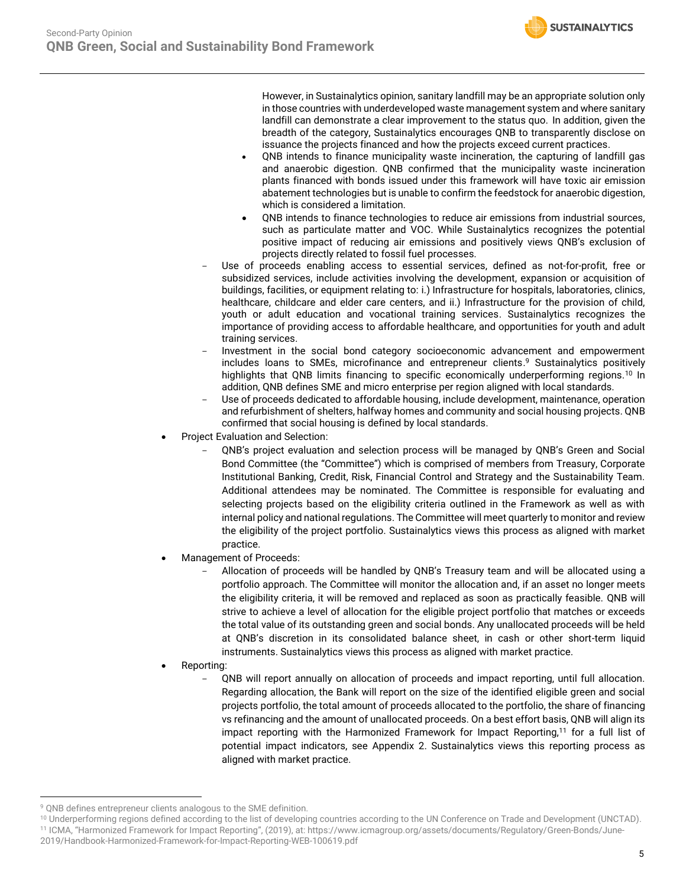**SUSTAINALYTICS** 

However, in Sustainalytics opinion, sanitary landfill may be an appropriate solution only in those countries with underdeveloped waste management system and where sanitary landfill can demonstrate a clear improvement to the status quo. In addition, given the breadth of the category, Sustainalytics encourages QNB to transparently disclose on issuance the projects financed and how the projects exceed current practices.

- QNB intends to finance municipality waste incineration, the capturing of landfill gas and anaerobic digestion. QNB confirmed that the municipality waste incineration plants financed with bonds issued under this framework will have toxic air emission abatement technologies but is unable to confirm the feedstock for anaerobic digestion, which is considered a limitation.
- QNB intends to finance technologies to reduce air emissions from industrial sources, such as particulate matter and VOC. While Sustainalytics recognizes the potential positive impact of reducing air emissions and positively views QNB's exclusion of projects directly related to fossil fuel processes.
- Use of proceeds enabling access to essential services, defined as not-for-profit, free or subsidized services, include activities involving the development, expansion or acquisition of buildings, facilities, or equipment relating to: i.) Infrastructure for hospitals, laboratories, clinics, healthcare, childcare and elder care centers, and ii.) Infrastructure for the provision of child, youth or adult education and vocational training services. Sustainalytics recognizes the importance of providing access to affordable healthcare, and opportunities for youth and adult training services.
- Investment in the social bond category socioeconomic advancement and empowerment includes loans to SMEs, microfinance and entrepreneur clients. <sup>9</sup> Sustainalytics positively highlights that QNB limits financing to specific economically underperforming regions.<sup>10</sup> In addition, QNB defines SME and micro enterprise per region aligned with local standards.
- Use of proceeds dedicated to affordable housing, include development, maintenance, operation and refurbishment of shelters, halfway homes and community and social housing projects. QNB confirmed that social housing is defined by local standards.
- Project Evaluation and Selection:
	- QNB's project evaluation and selection process will be managed by QNB's Green and Social Bond Committee (the "Committee") which is comprised of members from Treasury, Corporate Institutional Banking, Credit, Risk, Financial Control and Strategy and the Sustainability Team. Additional attendees may be nominated. The Committee is responsible for evaluating and selecting projects based on the eligibility criteria outlined in the Framework as well as with internal policy and national regulations. The Committee will meet quarterly to monitor and review the eligibility of the project portfolio. Sustainalytics views this process as aligned with market practice.
- Management of Proceeds:
	- Allocation of proceeds will be handled by QNB's Treasury team and will be allocated using a portfolio approach. The Committee will monitor the allocation and, if an asset no longer meets the eligibility criteria, it will be removed and replaced as soon as practically feasible. QNB will strive to achieve a level of allocation for the eligible project portfolio that matches or exceeds the total value of its outstanding green and social bonds. Any unallocated proceeds will be held at QNB's discretion in its consolidated balance sheet, in cash or other short-term liquid instruments. Sustainalytics views this process as aligned with market practice.
- Reporting:
	- QNB will report annually on allocation of proceeds and impact reporting, until full allocation. Regarding allocation, the Bank will report on the size of the identified eligible green and social projects portfolio, the total amount of proceeds allocated to the portfolio, the share of financing vs refinancing and the amount of unallocated proceeds. On a best effort basis, QNB will align its impact reporting with the Harmonized Framework for Impact Reporting,<sup>11</sup> for a full list of potential impact indicators, see Appendix 2. Sustainalytics views this reporting process as aligned with market practice.

<sup>9</sup> QNB defines entrepreneur clients analogous to the SME definition.

<sup>10</sup> Underperforming regions defined according to the list of developing countries according to the UN Conference on Trade and Development (UNCTAD). <sup>11</sup> ICMA, "Harmonized Framework for Impact Reporting", (2019), at: https://www.icmagroup.org/assets/documents/Regulatory/Green-Bonds/June-

<sup>2019/</sup>Handbook-Harmonized-Framework-for-Impact-Reporting-WEB-100619.pdf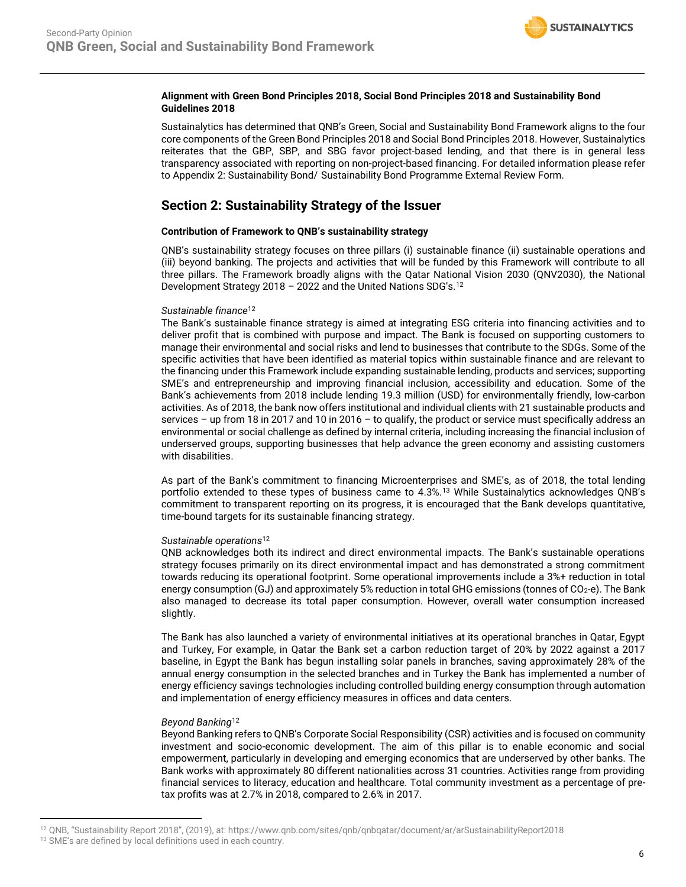### **Alignment with Green Bond Principles 2018, Social Bond Principles 2018 and Sustainability Bond Guidelines 2018**

Sustainalytics has determined that QNB's Green, Social and Sustainability Bond Framework aligns to the four core components of the Green Bond Principles 2018 and Social Bond Principles 2018. However, Sustainalytics reiterates that the GBP, SBP, and SBG favor project-based lending, and that there is in general less transparency associated with reporting on non-project-based financing. For detailed information please refer to Appendix 2: Sustainability Bond/ Sustainability Bond Programme External Review Form.

### **Section 2: Sustainability Strategy of the Issuer**

### **Contribution of Framework to QNB's sustainability strategy**

QNB's sustainability strategy focuses on three pillars (i) sustainable finance (ii) sustainable operations and (iii) beyond banking. The projects and activities that will be funded by this Framework will contribute to all three pillars. The Framework broadly aligns with the Qatar National Vision 2030 (QNV2030), the National Development Strategy 2018 – 2022 and the United Nations SDG's.<sup>12</sup>

### <span id="page-5-0"></span>*Sustainable finance*[12](#page-5-0)

The Bank's sustainable finance strategy is aimed at integrating ESG criteria into financing activities and to deliver profit that is combined with purpose and impact. The Bank is focused on supporting customers to manage their environmental and social risks and lend to businesses that contribute to the SDGs. Some of the specific activities that have been identified as material topics within sustainable finance and are relevant to the financing under this Framework include expanding sustainable lending, products and services; supporting SME's and entrepreneurship and improving financial inclusion, accessibility and education. Some of the Bank's achievements from 2018 include lending 19.3 million (USD) for environmentally friendly, low-carbon activities. As of 2018, the bank now offers institutional and individual clients with 21 sustainable products and services – up from 18 in 2017 and 10 in 2016 – to qualify, the product or service must specifically address an environmental or social challenge as defined by internal criteria, including increasing the financial inclusion of underserved groups, supporting businesses that help advance the green economy and assisting customers with disabilities.

As part of the Bank's commitment to financing Microenterprises and SME's, as of 2018, the total lending portfolio extended to these types of business came to 4.3%.<sup>13</sup> While Sustainalytics acknowledges QNB's commitment to transparent reporting on its progress, it is encouraged that the Bank develops quantitative, time-bound targets for its sustainable financing strategy.

### *Sustainable operations*[12](#page-5-0)

QNB acknowledges both its indirect and direct environmental impacts. The Bank's sustainable operations strategy focuses primarily on its direct environmental impact and has demonstrated a strong commitment towards reducing its operational footprint. Some operational improvements include a 3%+ reduction in total energy consumption (GJ) and approximately 5% reduction in total GHG emissions (tonnes of CO<sub>2</sub>-e). The Bank also managed to decrease its total paper consumption. However, overall water consumption increased slightly.

The Bank has also launched a variety of environmental initiatives at its operational branches in Qatar, Egypt and Turkey, For example, in Qatar the Bank set a carbon reduction target of 20% by 2022 against a 2017 baseline, in Egypt the Bank has begun installing solar panels in branches, saving approximately 28% of the annual energy consumption in the selected branches and in Turkey the Bank has implemented a number of energy efficiency savings technologies including controlled building energy consumption through automation and implementation of energy efficiency measures in offices and data centers.

### *Beyond Banking*[12](#page-5-0)

Beyond Banking refers to QNB's Corporate Social Responsibility (CSR) activities and is focused on community investment and socio-economic development. The aim of this pillar is to enable economic and social empowerment, particularly in developing and emerging economics that are underserved by other banks. The Bank works with approximately 80 different nationalities across 31 countries. Activities range from providing financial services to literacy, education and healthcare. Total community investment as a percentage of pretax profits was at 2.7% in 2018, compared to 2.6% in 2017.

<sup>12</sup> QNB, "Sustainability Report 2018", (2019), at: https://www.qnb.com/sites/qnb/qnbqatar/document/ar/arSustainabilityReport2018

<sup>&</sup>lt;sup>13</sup> SME's are defined by local definitions used in each country.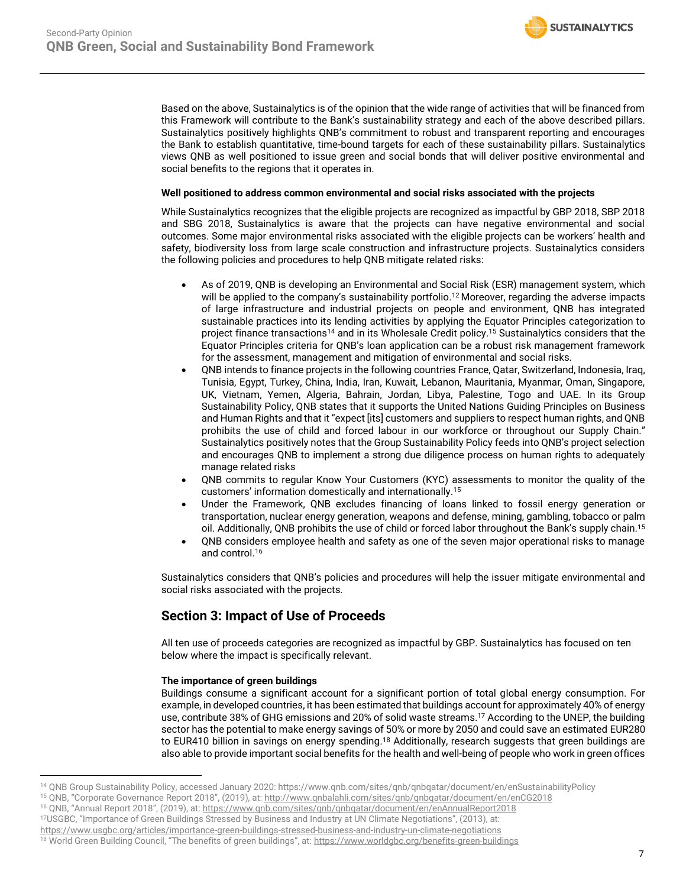Based on the above, Sustainalytics is of the opinion that the wide range of activities that will be financed from this Framework will contribute to the Bank's sustainability strategy and each of the above described pillars. Sustainalytics positively highlights QNB's commitment to robust and transparent reporting and encourages the Bank to establish quantitative, time-bound targets for each of these sustainability pillars. Sustainalytics views QNB as well positioned to issue green and social bonds that will deliver positive environmental and social benefits to the regions that it operates in.

### **Well positioned to address common environmental and social risks associated with the projects**

While Sustainalytics recognizes that the eligible projects are recognized as impactful by GBP 2018, SBP 2018 and SBG 2018, Sustainalytics is aware that the projects can have negative environmental and social outcomes. Some major environmental risks associated with the eligible projects can be workers' health and safety, biodiversity loss from large scale construction and infrastructure projects. Sustainalytics considers the following policies and procedures to help QNB mitigate related risks:

- As of 2019, QNB is developing an Environmental and Social Risk (ESR) management system, which will be applied to the company's sustainability portfolio. [12](#page-5-0) Moreover, regarding the adverse impacts of large infrastructure and industrial projects on people and environment, QNB has integrated sustainable practices into its lending activities by applying the Equator Principles categorization to project finance transactions<sup>14</sup> and in its Wholesale Credit policy.<sup>15</sup> Sustainalytics considers that the Equator Principles criteria for QNB's loan application can be a robust risk management framework for the assessment, management and mitigation of environmental and social risks.
- <span id="page-6-0"></span>• QNB intends to finance projects in the following countries France, Qatar, Switzerland, Indonesia, Iraq, Tunisia, Egypt, Turkey, China, India, Iran, Kuwait, Lebanon, Mauritania, Myanmar, Oman, Singapore, UK, Vietnam, Yemen, Algeria, Bahrain, Jordan, Libya, Palestine, Togo and UAE. In its Group Sustainability Policy, QNB states that it supports the United Nations Guiding Principles on Business and Human Rights and that it "expect [its] customers and suppliers to respect human rights, and QNB prohibits the use of child and forced labour in our workforce or throughout our Supply Chain." Sustainalytics positively notes that the Group Sustainability Policy feeds into QNB's project selection and encourages QNB to implement a strong due diligence process on human rights to adequately manage related risks
- QNB commits to regular Know Your Customers (KYC) assessments to monitor the quality of the customers' information domestically and internationally.[15](#page-6-0)
- Under the Framework, QNB excludes financing of loans linked to fossil energy generation or transportation, nuclear energy generation, weapons and defense, mining, gambling, tobacco or palm oil. Additionally, QNB prohibits the use of child or forced labor throughout the Bank's supply chain.[15](#page-6-0)
- QNB considers employee health and safety as one of the seven major operational risks to manage and control.<sup>16</sup>

Sustainalytics considers that QNB's policies and procedures will help the issuer mitigate environmental and social risks associated with the projects.

### **Section 3: Impact of Use of Proceeds**

All ten use of proceeds categories are recognized as impactful by GBP. Sustainalytics has focused on ten below where the impact is specifically relevant.

### **The importance of green buildings**

Buildings consume a significant account for a significant portion of total global energy consumption. For example, in developed countries, it has been estimated that buildings account for approximately 40% of energy use, contribute 38% of GHG emissions and 20% of solid waste streams.<sup>17</sup> According to the UNEP, the building sector has the potential to make energy savings of 50% or more by 2050 and could save an estimated EUR280 to EUR410 billion in savings on energy spending.<sup>18</sup> Additionally, research suggests that green buildings are also able to provide important social benefits for the health and well-being of people who work in green offices

<sup>14</sup> QNB Group Sustainability Policy, accessed January 2020: https://www.qnb.com/sites/qnb/qnbqatar/document/en/enSustainabilityPolicy

<sup>&</sup>lt;sup>15</sup> QNB, "Corporate Governance Report 2018", (2019), at[: http://www.qnbalahli.com/sites/qnb/qnbqatar/document/en/enCG2018](http://www.qnbalahli.com/sites/qnb/qnbqatar/document/en/enCG2018)

<sup>&</sup>lt;sup>16</sup> QNB, "Annual Report 2018", (2019), at: <https://www.qnb.com/sites/qnb/qnbqatar/document/en/enAnnualReport2018>

<sup>17</sup>USGBC, "Importance of Green Buildings Stressed by Business and Industry at UN Climate Negotiations", (2013), at:

<https://www.usgbc.org/articles/importance-green-buildings-stressed-business-and-industry-un-climate-negotiations>

<sup>18</sup> World Green Building Council, "The benefits of green buildings", at: <https://www.worldgbc.org/benefits-green-buildings>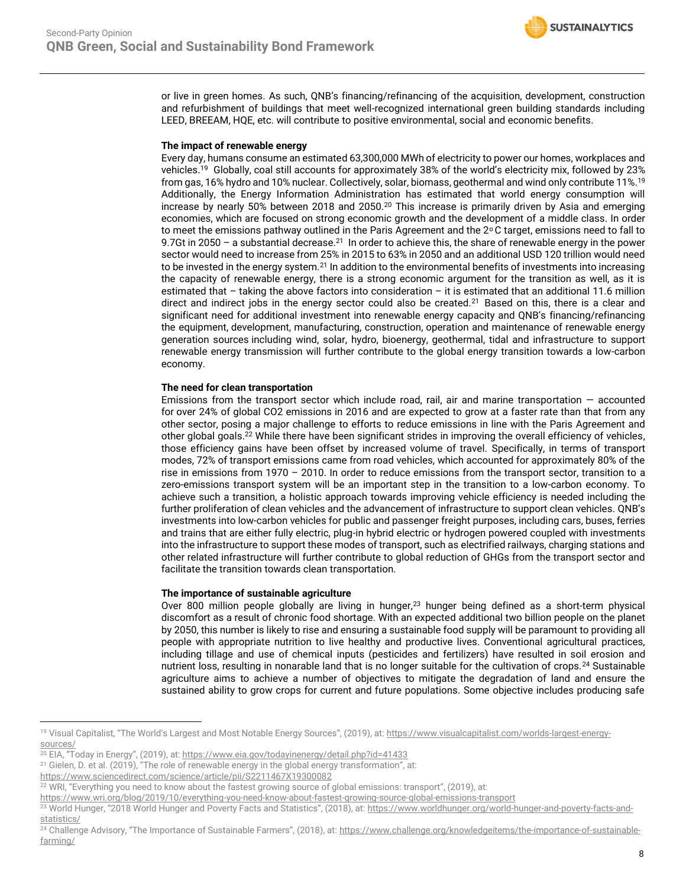or live in green homes. As such, QNB's financing/refinancing of the acquisition, development, construction and refurbishment of buildings that meet well-recognized international green building standards including LEED, BREEAM, HQE, etc. will contribute to positive environmental, social and economic benefits.

### **The impact of renewable energy**

<span id="page-7-1"></span><span id="page-7-0"></span>Every day, humans consume an estimated 63,300,000 MWh of electricity to power our homes, workplaces and vehicles.<sup>19</sup> Globally, coal still accounts for approximately 38% of the world's electricity mix, followed by 23% from gas, 16% hydro and 10% nuclear. Collectively, solar, biomass, geothermal and wind only contribute 11%.[19](#page-7-0) Additionally, the Energy Information Administration has estimated that world energy consumption will increase by nearly 50% between 2018 and 2050.<sup>20</sup> This increase is primarily driven by Asia and emerging economies, which are focused on strong economic growth and the development of a middle class. In order to meet the emissions pathway outlined in the Paris Agreement and the  $2^{\circ}$ C target, emissions need to fall to 9.7Gt in 2050 - a substantial decrease.<sup>21</sup> In order to achieve this, the share of renewable energy in the power sector would need to increase from 25% in 2015 to 63% in 2050 and an additional USD 120 trillion would need to be invested in the energy system.<sup>[21](#page-7-1)</sup> In addition to the environmental benefits of investments into increasing the capacity of renewable energy, there is a strong economic argument for the transition as well, as it is estimated that – taking the above factors into consideration – it is estimated that an additional 11.6 million direct and indirect jobs in the energy sector could also be created.<sup>[21](#page-7-1)</sup> Based on this, there is a clear and significant need for additional investment into renewable energy capacity and QNB's financing/refinancing the equipment, development, manufacturing, construction, operation and maintenance of renewable energy generation sources including wind, solar, hydro, bioenergy, geothermal, tidal and infrastructure to support renewable energy transmission will further contribute to the global energy transition towards a low-carbon economy.

### **The need for clean transportation**

Emissions from the transport sector which include road, rail, air and marine transportation  $-$  accounted for [over 24% of global CO2 emissions](https://webstore.iea.org/co2-emissions-from-fuel-combustion-2018-highlights) in 2016 and are expected to grow at a faster rate than that from any other sector, posing a major challenge to efforts to reduce emissions in line with the Paris Agreement and other global goals.<sup>22</sup> While there have been significant strides in improving the overall efficiency of vehicles, those efficiency gains have been offset by increased volume of travel. Specifically, in terms of transport modes, 72% of transport emissions came from road vehicles, which accounted for approximately 80% of the rise in emissions from 1970 – 2010. In order to reduce emissions from the transport sector, transition to a zero-emissions transport system will be an important step in the transition to a low-carbon economy. To achieve such a transition, a holistic approach towards improving vehicle efficiency is needed including the further proliferation of clean vehicles and the advancement of infrastructure to support clean vehicles. QNB's investments into low-carbon vehicles for public and passenger freight purposes, including cars, buses, ferries and trains that are either fully electric, plug-in hybrid electric or hydrogen powered coupled with investments into the infrastructure to support these modes of transport, such as electrified railways, charging stations and other related infrastructure will further contribute to global reduction of GHGs from the transport sector and facilitate the transition towards clean transportation.

### **The importance of sustainable agriculture**

Over 800 million people globally are living in hunger,<sup>23</sup> hunger being defined as a short-term physical discomfort as a result of chronic food shortage. With an expected additional two billion people on the planet by 2050, this number is likely to rise and ensuring a sustainable food supply will be paramount to providing all people with appropriate nutrition to live healthy and productive lives. Conventional agricultural practices, including tillage and use of chemical inputs (pesticides and fertilizers) have resulted in soil erosion and nutrient loss, resulting in nonarable land that is no longer suitable for the cultivation of crops.<sup>24</sup> Sustainable agriculture aims to achieve a number of objectives to mitigate the degradation of land and ensure the sustained ability to grow crops for current and future populations. Some objective includes producing safe

<sup>19</sup> Visual Capitalist, "The World's Largest and Most Notable Energy Sources", (2019), at: [https://www.visualcapitalist.com/worlds-largest-energy](https://www.visualcapitalist.com/worlds-largest-energy-sources/)[sources/](https://www.visualcapitalist.com/worlds-largest-energy-sources/)

<sup>&</sup>lt;sup>20</sup> EIA, "Today in Energy", (2019), at: <https://www.eia.gov/todayinenergy/detail.php?id=41433>

<sup>&</sup>lt;sup>21</sup> Gielen, D. et al. (2019), "The role of renewable energy in the global energy transformation", at:

<https://www.sciencedirect.com/science/article/pii/S2211467X19300082>

<sup>&</sup>lt;sup>22</sup> WRI, "Everything you need to know about the fastest growing source of global emissions: transport", (2019), at:

<https://www.wri.org/blog/2019/10/everything-you-need-know-about-fastest-growing-source-global-emissions-transport>

<sup>&</sup>lt;sup>23</sup> World Hunger, "2018 World Hunger and Poverty Facts and Statistics", (2018), at: [https://www.worldhunger.org/world-hunger-and-poverty-facts-and](https://www.worldhunger.org/world-hunger-and-poverty-facts-and-statistics/)[statistics/](https://www.worldhunger.org/world-hunger-and-poverty-facts-and-statistics/)

<sup>&</sup>lt;sup>24</sup> Challenge Advisory, "The Importance of Sustainable Farmers", (2018), at: [https://www.challenge.org/knowledgeitems/the-importance-of-sustainable](https://www.challenge.org/knowledgeitems/the-importance-of-sustainable-farming/)[farming/](https://www.challenge.org/knowledgeitems/the-importance-of-sustainable-farming/)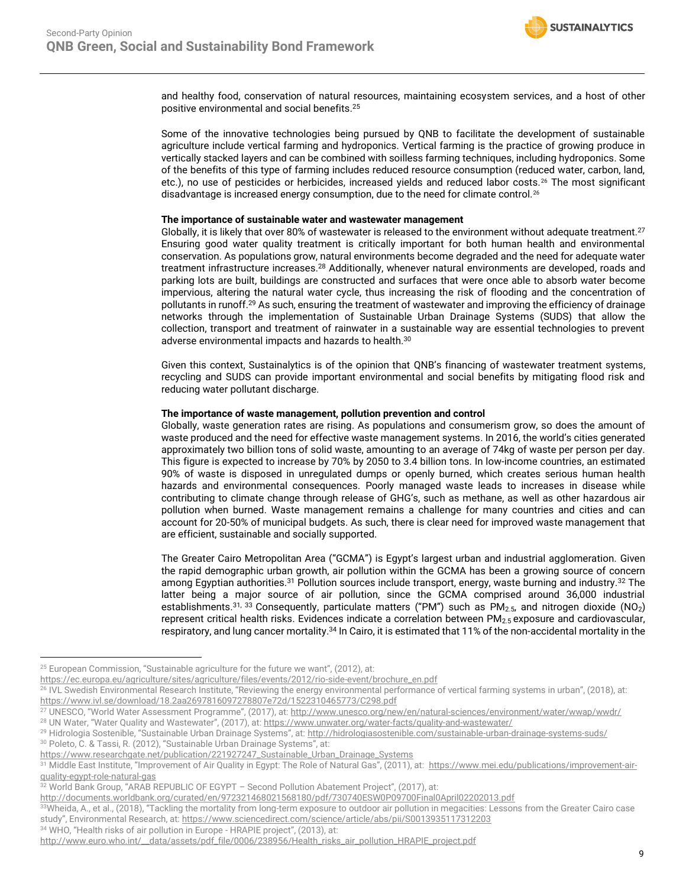<span id="page-8-0"></span>

and healthy food, conservation of natural resources, maintaining ecosystem services, and a host of other positive environmental and social benefits.<sup>25</sup>

Some of the innovative technologies being pursued by QNB to facilitate the development of sustainable agriculture include vertical farming and hydroponics. Vertical farming is the practice of growing produce in vertically stacked layers and can be combined with soilless farming techniques, including hydroponics. Some of the benefits of this type of farming includes reduced resource consumption (reduced water, carbon, land, etc.), no use of pesticides or herbicides, increased yields and reduced labor costs.<sup>26</sup> The most significant disadvantage is increased energy consumption, due to the need for climate control.<sup>[26](#page-8-0)</sup>

#### **The importance of sustainable water and wastewater management**

Globally, it is likely that over 80% of wastewater is released to the environment without adequate treatment.<sup>27</sup> Ensuring good water quality treatment is critically important for both human health and environmental conservation. As populations grow, natural environments become degraded and the need for adequate water treatment infrastructure increases.<sup>28</sup> Additionally, whenever natural environments are developed, roads and parking lots are built, buildings are constructed and surfaces that were once able to absorb water become impervious, altering the natural water cycle, thus increasing the risk of flooding and the concentration of pollutants in runoff.<sup>29</sup> As such, ensuring the treatment of wastewater and improving the efficiency of drainage networks through the implementation of Sustainable Urban Drainage Systems (SUDS) that allow the collection, transport and treatment of rainwater in a sustainable way are essential technologies to prevent adverse environmental impacts and hazards to health.<sup>30</sup>

Given this context, Sustainalytics is of the opinion that QNB's financing of wastewater treatment systems, recycling and SUDS can provide important environmental and social benefits by mitigating flood risk and reducing water pollutant discharge.

### **The importance of waste management, pollution prevention and control**

Globally, waste generation rates are rising. As populations and consumerism grow, so does the amount of waste produced and the need for effective waste management systems. In 2016, the world's cities generated approximately two billion tons of solid waste, amounting to an average of 74kg of waste per person per day. This figure is expected to increase by 70% by 2050 to 3.4 billion tons. In low-income countries, an estimated 90% of waste is disposed in unregulated dumps or openly burned, which creates serious human health hazards and environmental consequences. Poorly managed waste leads to increases in disease while contributing to climate change through release of GHG's, such as methane, as well as other hazardous air pollution when burned. Waste management remains a challenge for many countries and cities and can account for 20-50% of municipal budgets. As such, there is clear need for improved waste management that are efficient, sustainable and socially supported.

<span id="page-8-3"></span><span id="page-8-2"></span><span id="page-8-1"></span>The Greater Cairo Metropolitan Area ("GCMA") is Egypt's largest urban and industrial agglomeration. Given the rapid demographic urban growth, air pollution within the GCMA has been a growing source of concern among Egyptian authorities.<sup>31</sup> Pollution sources include transport, energy, waste burning and industry.<sup>32</sup> The latter being a major source of air pollution, since the GCMA comprised around 36,000 industrial establishments.<sup>[31,](#page-8-1) 33</sup> Consequently, particulate matters ("PM") such as PM<sub>2.5</sub>, and nitrogen dioxide (NO<sub>2</sub>) represent critical health risks. Evidences indicate a correlation between PM<sub>2.5</sub> exposure and cardiovascular, respiratory, and lung cancer mortality.<sup>34</sup> In Cairo, it is estimated that 11% of the non-accidental mortality in the

 $25$  European Commission, "Sustainable agriculture for the future we want", (2012), at:

[https://ec.europa.eu/agriculture/sites/agriculture/files/events/2012/rio-side-event/brochure\\_en.pdf](https://ec.europa.eu/agriculture/sites/agriculture/files/events/2012/rio-side-event/brochure_en.pdf)

<sup>&</sup>lt;sup>26</sup> IVL Swedish Environmental Research Institute, "Reviewing the energy environmental performance of vertical farming systems in urban", (2018), at: <https://www.ivl.se/download/18.2aa2697816097278807e72d/1522310465773/C298.pdf>

<sup>&</sup>lt;sup>27</sup> UNESCO, "World Water Assessment Programme", (2017), at: <http://www.unesco.org/new/en/natural-sciences/environment/water/wwap/wwdr/> <sup>28</sup> UN Water, "Water Quality and Wastewater", (2017), at: <https://www.unwater.org/water-facts/quality-and-wastewater/>

<sup>&</sup>lt;sup>29</sup> Hidrologia Sostenible, "Sustainable Urban Drainage Systems", at: <http://hidrologiasostenible.com/sustainable-urban-drainage-systems-suds/>

<sup>30</sup> Poleto, C. & Tassi, R. (2012), "Sustainable Urban Drainage Systems", at:

[https://www.researchgate.net/publication/221927247\\_Sustainable\\_Urban\\_Drainage\\_Systems](https://www.researchgate.net/publication/221927247_Sustainable_Urban_Drainage_Systems)

<sup>&</sup>lt;sup>31</sup> Middle East Institute, "Improvement of Air Quality in Egypt: The Role of Natural Gas", (2011), at: [https://www.mei.edu/publications/improvement-air](https://www.mei.edu/publications/improvement-air-quality-egypt-role-natural-gas)[quality-egypt-role-natural-gas](https://www.mei.edu/publications/improvement-air-quality-egypt-role-natural-gas)

<sup>32</sup> World Bank Group, "ARAB REPUBLIC OF EGYPT – Second Pollution Abatement Project", (2017), at:

<http://documents.worldbank.org/curated/en/972321468021568180/pdf/730740ESW0P09700Final0April02202013.pdf>

<sup>33</sup>Wheida, A., et al., (2018), "Tackling the mortality from long-term exposure to outdoor air pollution in megacities: Lessons from the Greater Cairo case study", Environmental Research, at[: https://www.sciencedirect.com/science/article/abs/pii/S0013935117312203](https://www.sciencedirect.com/science/article/abs/pii/S0013935117312203)

<sup>34</sup> WHO, "Health risks of air pollution in Europe - HRAPIE project", (2013), at:

[http://www.euro.who.int/\\_\\_data/assets/pdf\\_file/0006/238956/Health\\_risks\\_air\\_pollution\\_HRAPIE\\_project.pdf](http://www.euro.who.int/__data/assets/pdf_file/0006/238956/Health_risks_air_pollution_HRAPIE_project.pdf)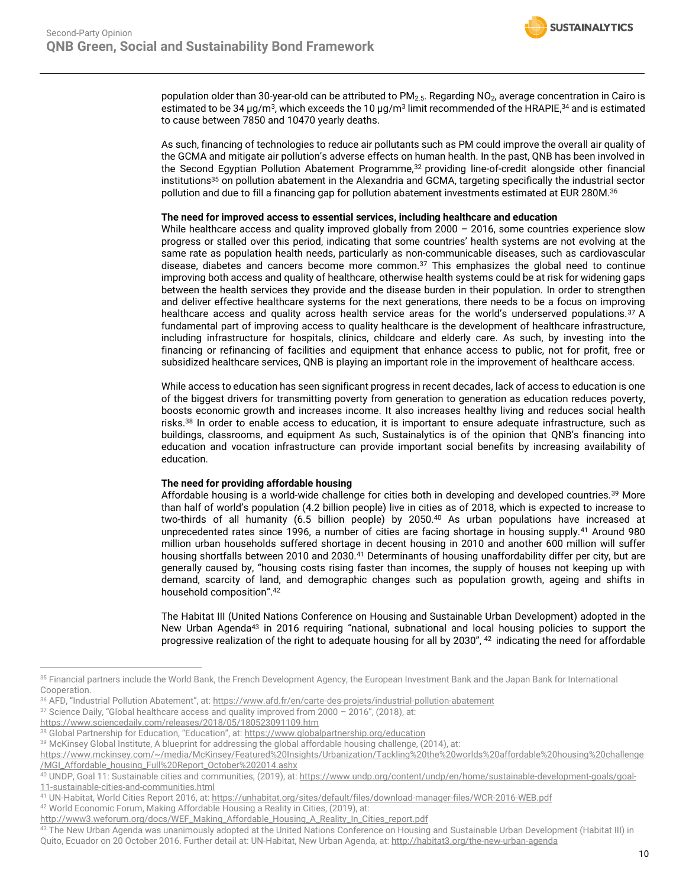

population older than 30-year-old can be attributed to PM<sub>2.5</sub>. Regarding NO<sub>2</sub>, average concentration in Cairo is estimated to be [34](#page-8-2)  $\mu$ g/m $^3$ , which exceeds the 10  $\mu$ g/m $^3$  limit recommended of the HRAPIE, $^{34}$  and is estimated to cause between 7850 and 10470 yearly deaths.

As such, financing of technologies to reduce air pollutants such as PM could improve the overall air quality of the GCMA and mitigate air pollution's adverse effects on human health. In the past, QNB has been involved in the Second Egyptian Pollution Abatement Programme,[32](#page-8-3) providing line-of-credit alongside other financial institutions<sup>35</sup> on pollution abatement in the Alexandria and GCMA, targeting specifically the industrial sector pollution and due to fill a financing gap for pollution abatement investments estimated at EUR 280M.<sup>36</sup>

### **The need for improved access to essential services, including healthcare and education**

<span id="page-9-0"></span>While healthcare access and quality improved globally from  $2000 - 2016$ , some countries experience slow progress or stalled over this period, indicating that some countries' health systems are not evolving at the same rate as population health needs, particularly as non-communicable diseases, such as cardiovascular disease, diabetes and cancers become more common. $37$  This emphasizes the global need to continue improving both access and quality of healthcare, otherwise health systems could be at risk for widening gaps between the health services they provide and the disease burden in their population. In order to strengthen and deliver effective healthcare systems for the next generations, there needs to be a focus on improving healthcare access and quality across health service areas for the world's underserved populations.<sup>[37](#page-9-0)</sup> A fundamental part of improving access to quality healthcare is the development of healthcare infrastructure, including infrastructure for hospitals, clinics, childcare and elderly care. As such, by investing into the financing or refinancing of facilities and equipment that enhance access to public, not for profit, free or subsidized healthcare services, QNB is playing an important role in the improvement of healthcare access.

While access to education has seen significant progress in recent decades, lack of access to education is one of the biggest drivers for transmitting poverty from generation to generation as education reduces poverty, boosts economic growth and increases income. It also increases healthy living and reduces social health risks. <sup>38</sup> In order to enable access to education, it is important to ensure adequate infrastructure, such as buildings, classrooms, and equipment As such, Sustainalytics is of the opinion that QNB's financing into education and vocation infrastructure can provide important social benefits by increasing availability of education.

### **The need for providing affordable housing**

<span id="page-9-1"></span>Affordable housing is a world-wide challenge for cities both in developing and developed countries.<sup>39</sup> More than half of world's population (4.2 billion people) live in cities as of 2018, which is expected to increase to two-thirds of all humanity (6.5 billion people) by 2050. <sup>40</sup> As urban populations have increased at unprecedented rates since 1996, a number of cities are facing shortage in housing supply.<sup>41</sup> Around 980 million urban households suffered shortage in decent housing in 2010 and another 600 million will suffer housing shortfalls between 2010 and 2030.<sup>[41](#page-9-1)</sup> Determinants of housing unaffordability differ per city, but are generally caused by, "housing costs rising faster than incomes, the supply of houses not keeping up with demand, scarcity of land, and demographic changes such as population growth, ageing and shifts in household composition".<sup>42</sup>

<span id="page-9-2"></span>The Habitat III (United Nations Conference on Housing and Sustainable Urban Development) adopted in the New Urban Agenda<sup>43</sup> in 2016 requiring "national, subnational and local housing policies to support the progressive realization of the right to adequate housing for all by 2030", <sup>[42](#page-9-2)</sup> indicating the need for affordable

<sup>37</sup> Science Daily, "Global healthcare access and quality improved from 2000 – 2016", (2018), at:

<sup>35</sup> Financial partners include the World Bank, the French Development Agency, the European Investment Bank and the Japan Bank for International Cooperation.

<sup>36</sup> AFD, "Industrial Pollution Abatement", at: <https://www.afd.fr/en/carte-des-projets/industrial-pollution-abatement>

<https://www.sciencedaily.com/releases/2018/05/180523091109.htm>

<sup>&</sup>lt;sup>38</sup> Global Partnership for Education, "Education", at: <https://www.globalpartnership.org/education>

<sup>39</sup> McKinsey Global Institute, A blueprint for addressing the global affordable housing challenge, (2014), at:

[https://www.mckinsey.com/~/media/McKinsey/Featured%20Insights/Urbanization/Tackling%20the%20worlds%20affordable%20housing%20challenge](https://www.mckinsey.com/~/media/McKinsey/Featured%20Insights/Urbanization/Tackling%20the%20worlds%20affordable%20housing%20challenge/MGI_Affordable_housing_Full%20Report_October%202014.ashx) [/MGI\\_Affordable\\_housing\\_Full%20Report\\_October%202014.ashx](https://www.mckinsey.com/~/media/McKinsey/Featured%20Insights/Urbanization/Tackling%20the%20worlds%20affordable%20housing%20challenge/MGI_Affordable_housing_Full%20Report_October%202014.ashx)

<sup>40</sup> UNDP, Goal 11: Sustainable cities and communities, (2019), at[: https://www.undp.org/content/undp/en/home/sustainable-development-goals/goal-](https://www.undp.org/content/undp/en/home/sustainable-development-goals/goal-11-sustainable-cities-and-communities.html)[11-sustainable-cities-and-communities.html](https://www.undp.org/content/undp/en/home/sustainable-development-goals/goal-11-sustainable-cities-and-communities.html)

<sup>41</sup> UN-Habitat, World Cities Report 2016, at[: https://unhabitat.org/sites/default/files/download-manager-files/WCR-2016-WEB.pdf](https://unhabitat.org/sites/default/files/download-manager-files/WCR-2016-WEB.pdf)

<sup>42</sup> World Economic Forum, Making Affordable Housing a Reality in Cities, (2019), at:

[http://www3.weforum.org/docs/WEF\\_Making\\_Affordable\\_Housing\\_A\\_Reality\\_In\\_Cities\\_report.pdf](http://www3.weforum.org/docs/WEF_Making_Affordable_Housing_A_Reality_In_Cities_report.pdf)

<sup>43</sup> The New Urban Agenda was unanimously adopted at the United Nations Conference on Housing and Sustainable Urban Development (Habitat III) in Quito, Ecuador on 20 October 2016. Further detail at: UN-Habitat, New Urban Agenda, at[: http://habitat3.org/the-new-urban-agenda](http://habitat3.org/the-new-urban-agenda)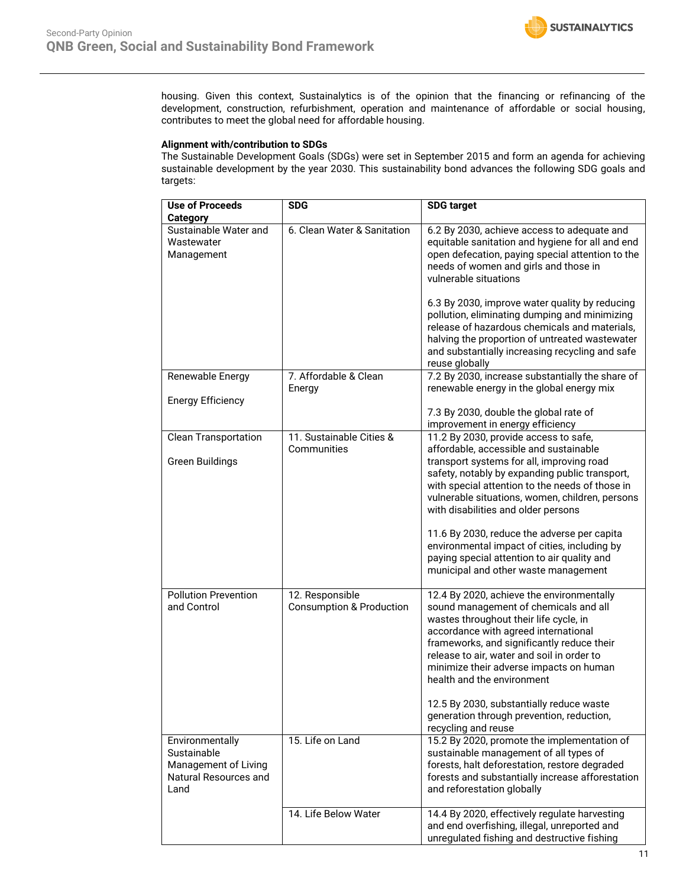housing. Given this context, Sustainalytics is of the opinion that the financing or refinancing of the development, construction, refurbishment, operation and maintenance of affordable or social housing, contributes to meet the global need for affordable housing.

### **Alignment with/contribution to SDGs**

The Sustainable Development Goals (SDGs) were set in September 2015 and form an agenda for achieving sustainable development by the year 2030. This sustainability bond advances the following SDG goals and targets:

| <b>Use of Proceeds</b>                                                                  | <b>SDG</b>                                             | <b>SDG target</b>                                                                                                                                                                                                                                                                                                                         |
|-----------------------------------------------------------------------------------------|--------------------------------------------------------|-------------------------------------------------------------------------------------------------------------------------------------------------------------------------------------------------------------------------------------------------------------------------------------------------------------------------------------------|
| <b>Category</b>                                                                         |                                                        |                                                                                                                                                                                                                                                                                                                                           |
| Sustainable Water and<br>Wastewater<br>Management                                       | 6. Clean Water & Sanitation                            | 6.2 By 2030, achieve access to adequate and<br>equitable sanitation and hygiene for all and end<br>open defecation, paying special attention to the<br>needs of women and girls and those in<br>vulnerable situations                                                                                                                     |
|                                                                                         |                                                        | 6.3 By 2030, improve water quality by reducing<br>pollution, eliminating dumping and minimizing<br>release of hazardous chemicals and materials,<br>halving the proportion of untreated wastewater<br>and substantially increasing recycling and safe<br>reuse globally                                                                   |
| Renewable Energy                                                                        | 7. Affordable & Clean<br>Energy                        | 7.2 By 2030, increase substantially the share of<br>renewable energy in the global energy mix                                                                                                                                                                                                                                             |
| <b>Energy Efficiency</b>                                                                |                                                        | 7.3 By 2030, double the global rate of<br>improvement in energy efficiency                                                                                                                                                                                                                                                                |
| <b>Clean Transportation</b>                                                             | 11. Sustainable Cities &<br>Communities                | 11.2 By 2030, provide access to safe,<br>affordable, accessible and sustainable                                                                                                                                                                                                                                                           |
| <b>Green Buildings</b>                                                                  |                                                        | transport systems for all, improving road<br>safety, notably by expanding public transport,<br>with special attention to the needs of those in<br>vulnerable situations, women, children, persons<br>with disabilities and older persons                                                                                                  |
|                                                                                         |                                                        | 11.6 By 2030, reduce the adverse per capita<br>environmental impact of cities, including by<br>paying special attention to air quality and<br>municipal and other waste management                                                                                                                                                        |
| <b>Pollution Prevention</b><br>and Control                                              | 12. Responsible<br><b>Consumption &amp; Production</b> | 12.4 By 2020, achieve the environmentally<br>sound management of chemicals and all<br>wastes throughout their life cycle, in<br>accordance with agreed international<br>frameworks, and significantly reduce their<br>release to air, water and soil in order to<br>minimize their adverse impacts on human<br>health and the environment |
|                                                                                         |                                                        | 12.5 By 2030, substantially reduce waste<br>generation through prevention, reduction,<br>recycling and reuse                                                                                                                                                                                                                              |
| Environmentally<br>Sustainable<br>Management of Living<br>Natural Resources and<br>Land | 15. Life on Land                                       | 15.2 By 2020, promote the implementation of<br>sustainable management of all types of<br>forests, halt deforestation, restore degraded<br>forests and substantially increase afforestation<br>and reforestation globally                                                                                                                  |
|                                                                                         | 14. Life Below Water                                   | 14.4 By 2020, effectively regulate harvesting<br>and end overfishing, illegal, unreported and<br>unregulated fishing and destructive fishing                                                                                                                                                                                              |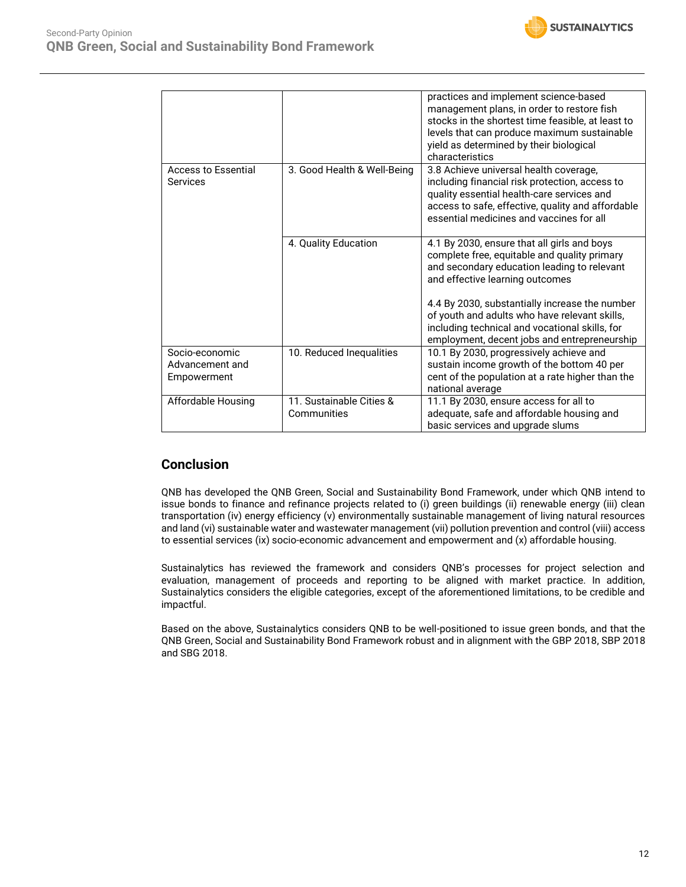|                                        |                                         | practices and implement science-based<br>management plans, in order to restore fish<br>stocks in the shortest time feasible, at least to<br>levels that can produce maximum sustainable<br>yield as determined by their biological<br>characteristics                                                                              |
|----------------------------------------|-----------------------------------------|------------------------------------------------------------------------------------------------------------------------------------------------------------------------------------------------------------------------------------------------------------------------------------------------------------------------------------|
| <b>Access to Essential</b><br>Services | 3. Good Health & Well-Being             | 3.8 Achieve universal health coverage,<br>including financial risk protection, access to<br>quality essential health-care services and<br>access to safe, effective, quality and affordable<br>essential medicines and vaccines for all                                                                                            |
|                                        | 4. Quality Education                    | 4.1 By 2030, ensure that all girls and boys<br>complete free, equitable and quality primary<br>and secondary education leading to relevant<br>and effective learning outcomes<br>4.4 By 2030, substantially increase the number<br>of youth and adults who have relevant skills,<br>including technical and vocational skills, for |
| Socio-economic                         | 10. Reduced Inequalities                | employment, decent jobs and entrepreneurship<br>10.1 By 2030, progressively achieve and                                                                                                                                                                                                                                            |
| Advancement and<br>Empowerment         |                                         | sustain income growth of the bottom 40 per<br>cent of the population at a rate higher than the<br>national average                                                                                                                                                                                                                 |
| Affordable Housing                     | 11. Sustainable Cities &<br>Communities | 11.1 By 2030, ensure access for all to<br>adequate, safe and affordable housing and<br>basic services and upgrade slums                                                                                                                                                                                                            |

### **Conclusion**

QNB has developed the QNB Green, Social and Sustainability Bond Framework, under which QNB intend to issue bonds to finance and refinance projects related to (i) green buildings (ii) renewable energy (iii) clean transportation (iv) energy efficiency (v) environmentally sustainable management of living natural resources and land (vi) sustainable water and wastewater management (vii) pollution prevention and control (viii) access to essential services (ix) socio-economic advancement and empowerment and (x) affordable housing.

Sustainalytics has reviewed the framework and considers QNB's processes for project selection and evaluation, management of proceeds and reporting to be aligned with market practice. In addition, Sustainalytics considers the eligible categories, except of the aforementioned limitations, to be credible and impactful.

Based on the above, Sustainalytics considers QNB to be well-positioned to issue green bonds, and that the QNB Green, Social and Sustainability Bond Framework robust and in alignment with the GBP 2018, SBP 2018 and SBG 2018.

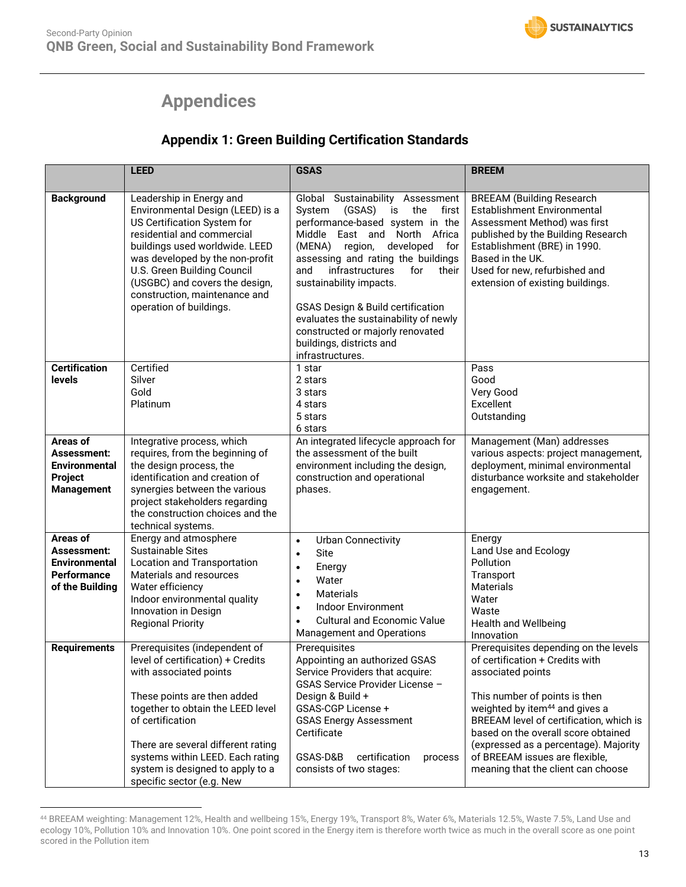# **Appendices**

## **Appendix 1: Green Building Certification Standards**

<span id="page-12-0"></span>

|                                                                                          | <b>LEED</b>                                                                                                                                                                                                                                                                                                                     | <b>GSAS</b>                                                                                                                                                                                                                                                                                                                                                                                                                                                                       | <b>BREEM</b>                                                                                                                                                                                                                                                                                                                                                                    |
|------------------------------------------------------------------------------------------|---------------------------------------------------------------------------------------------------------------------------------------------------------------------------------------------------------------------------------------------------------------------------------------------------------------------------------|-----------------------------------------------------------------------------------------------------------------------------------------------------------------------------------------------------------------------------------------------------------------------------------------------------------------------------------------------------------------------------------------------------------------------------------------------------------------------------------|---------------------------------------------------------------------------------------------------------------------------------------------------------------------------------------------------------------------------------------------------------------------------------------------------------------------------------------------------------------------------------|
| <b>Background</b>                                                                        | Leadership in Energy and<br>Environmental Design (LEED) is a<br>US Certification System for<br>residential and commercial<br>buildings used worldwide. LEED<br>was developed by the non-profit<br>U.S. Green Building Council<br>(USGBC) and covers the design,<br>construction, maintenance and<br>operation of buildings.     | Global Sustainability Assessment<br>(GSAS)<br>System<br>is<br>the<br>first<br>performance-based system in the<br>Middle East and<br>North Africa<br>region,<br>developed<br>for<br>(MENA)<br>assessing and rating the buildings<br>and<br>infrastructures<br>for<br>their<br>sustainability impacts.<br><b>GSAS Design &amp; Build certification</b><br>evaluates the sustainability of newly<br>constructed or majorly renovated<br>buildings, districts and<br>infrastructures. | <b>BREEAM (Building Research</b><br>Establishment Environmental<br>Assessment Method) was first<br>published by the Building Research<br>Establishment (BRE) in 1990.<br>Based in the UK.<br>Used for new, refurbished and<br>extension of existing buildings.                                                                                                                  |
| <b>Certification</b><br>levels                                                           | Certified<br>Silver<br>Gold<br>Platinum                                                                                                                                                                                                                                                                                         | 1 star<br>2 stars<br>3 stars<br>4 stars<br>5 stars<br>6 stars                                                                                                                                                                                                                                                                                                                                                                                                                     | Pass<br>Good<br>Very Good<br>Excellent<br>Outstanding                                                                                                                                                                                                                                                                                                                           |
| Areas of<br>Assessment:<br>Environmental<br>Project<br><b>Management</b>                 | Integrative process, which<br>requires, from the beginning of<br>the design process, the<br>identification and creation of<br>synergies between the various<br>project stakeholders regarding<br>the construction choices and the<br>technical systems.                                                                         | An integrated lifecycle approach for<br>the assessment of the built<br>environment including the design,<br>construction and operational<br>phases.                                                                                                                                                                                                                                                                                                                               | Management (Man) addresses<br>various aspects: project management,<br>deployment, minimal environmental<br>disturbance worksite and stakeholder<br>engagement.                                                                                                                                                                                                                  |
| Areas of<br>Assessment:<br><b>Environmental</b><br><b>Performance</b><br>of the Building | Energy and atmosphere<br><b>Sustainable Sites</b><br>Location and Transportation<br>Materials and resources<br>Water efficiency<br>Indoor environmental quality<br>Innovation in Design<br><b>Regional Priority</b>                                                                                                             | <b>Urban Connectivity</b><br>$\bullet$<br>Site<br>$\bullet$<br>Energy<br>$\bullet$<br>Water<br>$\bullet$<br>Materials<br>$\bullet$<br><b>Indoor Environment</b><br>$\bullet$<br><b>Cultural and Economic Value</b><br><b>Management and Operations</b>                                                                                                                                                                                                                            | Energy<br>Land Use and Ecology<br>Pollution<br>Transport<br>Materials<br>Water<br>Waste<br><b>Health and Wellbeing</b><br>Innovation                                                                                                                                                                                                                                            |
| <b>Requirements</b>                                                                      | Prerequisites (independent of<br>level of certification) + Credits<br>with associated points<br>These points are then added<br>together to obtain the LEED level<br>of certification<br>There are several different rating<br>systems within LEED. Each rating<br>system is designed to apply to a<br>specific sector (e.g. New | Prerequisites<br>Appointing an authorized GSAS<br>Service Providers that acquire:<br>GSAS Service Provider License -<br>Design & Build +<br>GSAS-CGP License +<br><b>GSAS Energy Assessment</b><br>Certificate<br>GSAS-D&B<br>certification<br>process<br>consists of two stages:                                                                                                                                                                                                 | Prerequisites depending on the levels<br>of certification + Credits with<br>associated points<br>This number of points is then<br>weighted by item <sup>44</sup> and gives a<br>BREEAM level of certification, which is<br>based on the overall score obtained<br>(expressed as a percentage). Majority<br>of BREEAM issues are flexible,<br>meaning that the client can choose |

<sup>44</sup> BREEAM weighting: Management 12%, Health and wellbeing 15%, Energy 19%, Transport 8%, Water 6%, Materials 12.5%, Waste 7.5%, Land Use and ecology 10%, Pollution 10% and Innovation 10%. One point scored in the Energy item is therefore worth twice as much in the overall score as one point scored in the Pollution item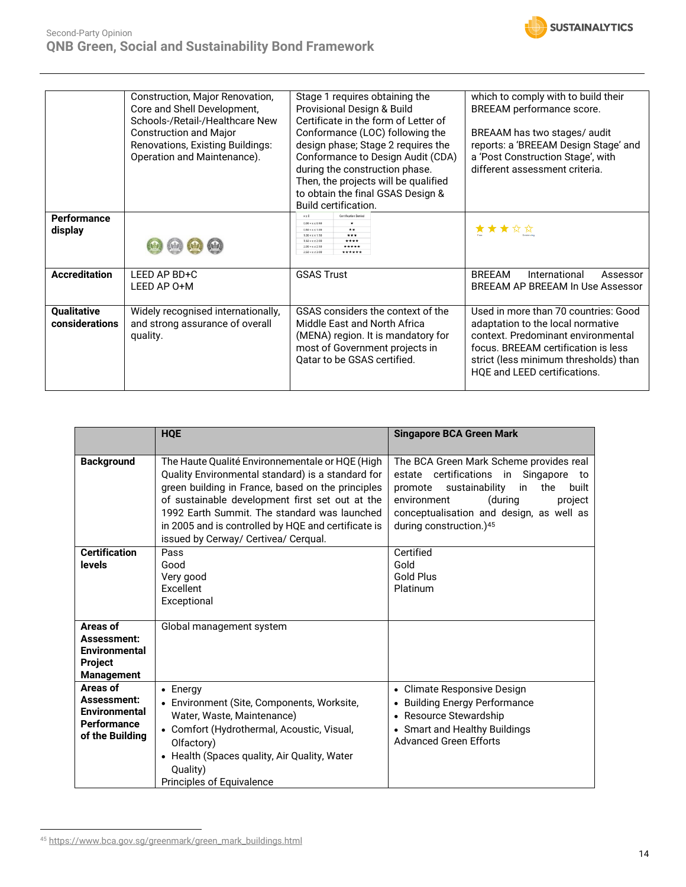|                               | Construction, Major Renovation,<br>Core and Shell Development,  | Stage 1 requires obtaining the<br>Provisional Design & Build                                                                 | which to comply with to build their<br>BREEAM performance score.                                                                                                 |
|-------------------------------|-----------------------------------------------------------------|------------------------------------------------------------------------------------------------------------------------------|------------------------------------------------------------------------------------------------------------------------------------------------------------------|
|                               | Schools-/Retail-/Healthcare New                                 | Certificate in the form of Letter of                                                                                         |                                                                                                                                                                  |
|                               | <b>Construction and Major</b>                                   | Conformance (LOC) following the                                                                                              | BREAAM has two stages/ audit                                                                                                                                     |
|                               | Renovations, Existing Buildings:<br>Operation and Maintenance). | design phase; Stage 2 requires the<br>Conformance to Design Audit (CDA)                                                      | reports: a 'BREEAM Design Stage' and<br>a 'Post Construction Stage', with                                                                                        |
|                               |                                                                 | during the construction phase.                                                                                               | different assessment criteria.                                                                                                                                   |
|                               |                                                                 | Then, the projects will be qualified                                                                                         |                                                                                                                                                                  |
|                               |                                                                 | to obtain the final GSAS Design &<br>Build certification.                                                                    |                                                                                                                                                                  |
| <b>Performance</b><br>display |                                                                 | <b>Certification Denied</b><br>$0.00 \times x \le 0.50$<br>$\star\star$<br>$0.50 < x \le 1.00$<br>***<br>$1.00 < x \le 1.50$ | <b>* * *</b>                                                                                                                                                     |
|                               |                                                                 | ****<br>$1.50 \times x \le 2.00$<br>*****<br>$2.00 + x + 2.50$<br>$2.50 \times x \le 3.00$<br>******                         |                                                                                                                                                                  |
| <b>Accreditation</b>          | LEED AP BD+C                                                    | <b>GSAS Trust</b>                                                                                                            | <b>BRFFAM</b><br>International<br>Assessor                                                                                                                       |
|                               | LEED AP 0+M                                                     |                                                                                                                              | BREEAM AP BREEAM In Use Assessor                                                                                                                                 |
| Qualitative                   | Widely recognised internationally,                              | GSAS considers the context of the                                                                                            | Used in more than 70 countries: Good                                                                                                                             |
| considerations                | and strong assurance of overall<br>quality.                     | Middle East and North Africa<br>(MENA) region. It is mandatory for                                                           | adaptation to the local normative<br>context. Predominant environmental                                                                                          |
|                               |                                                                 | most of Government projects in                                                                                               | focus. BREEAM certification is less                                                                                                                              |
|                               |                                                                 | Qatar to be GSAS certified.                                                                                                  | strict (less minimum thresholds) than<br>$\mathbf{11} \cap \mathbf{C}$ $\mathbf{11} \cap \mathbf{C}$ $\mathbf{12} \cap \mathbf{C}$ $\mathbf{13} \cap \mathbf{C}$ |

|                                                                                   | <b>HQE</b>                                                                                                                                                                                                                                                                                                                                                  | <b>Singapore BCA Green Mark</b>                                                                                                                                                                                                                             |
|-----------------------------------------------------------------------------------|-------------------------------------------------------------------------------------------------------------------------------------------------------------------------------------------------------------------------------------------------------------------------------------------------------------------------------------------------------------|-------------------------------------------------------------------------------------------------------------------------------------------------------------------------------------------------------------------------------------------------------------|
| <b>Background</b>                                                                 | The Haute Qualité Environnementale or HQE (High<br>Quality Environmental standard) is a standard for<br>green building in France, based on the principles<br>of sustainable development first set out at the<br>1992 Farth Summit. The standard was launched<br>in 2005 and is controlled by HQE and certificate is<br>issued by Cerway/ Certivea/ Cergual. | The BCA Green Mark Scheme provides real<br>estate certifications in Singapore to<br>the<br>sustainability<br>in<br>built<br>promote<br>environment<br>(during<br>project<br>conceptualisation and design, as well as<br>during construction.) <sup>45</sup> |
| <b>Certification</b><br><b>levels</b>                                             | Pass<br>Good<br>Very good<br>Excellent<br>Exceptional                                                                                                                                                                                                                                                                                                       | Certified<br>Gold<br>Gold Plus<br>Platinum                                                                                                                                                                                                                  |
| Areas of<br>Assessment:<br><b>Environmental</b><br>Project<br><b>Management</b>   | Global management system                                                                                                                                                                                                                                                                                                                                    |                                                                                                                                                                                                                                                             |
| Areas of<br>Assessment:<br><b>Environmental</b><br>Performance<br>of the Building | $\bullet$ Energy<br>• Environment (Site, Components, Worksite,<br>Water, Waste, Maintenance)<br>• Comfort (Hydrothermal, Acoustic, Visual,<br>Olfactory)<br>• Health (Spaces quality, Air Quality, Water<br>Quality)<br>Principles of Equivalence                                                                                                           | • Climate Responsive Design<br>• Building Energy Performance<br>• Resource Stewardship<br>• Smart and Healthy Buildings<br><b>Advanced Green Efforts</b>                                                                                                    |

<sup>45</sup> [https://www.bca.gov.sg/greenmark/green\\_mark\\_buildings.html](https://www.bca.gov.sg/greenmark/green_mark_buildings.html)

HQE and LEED certifications.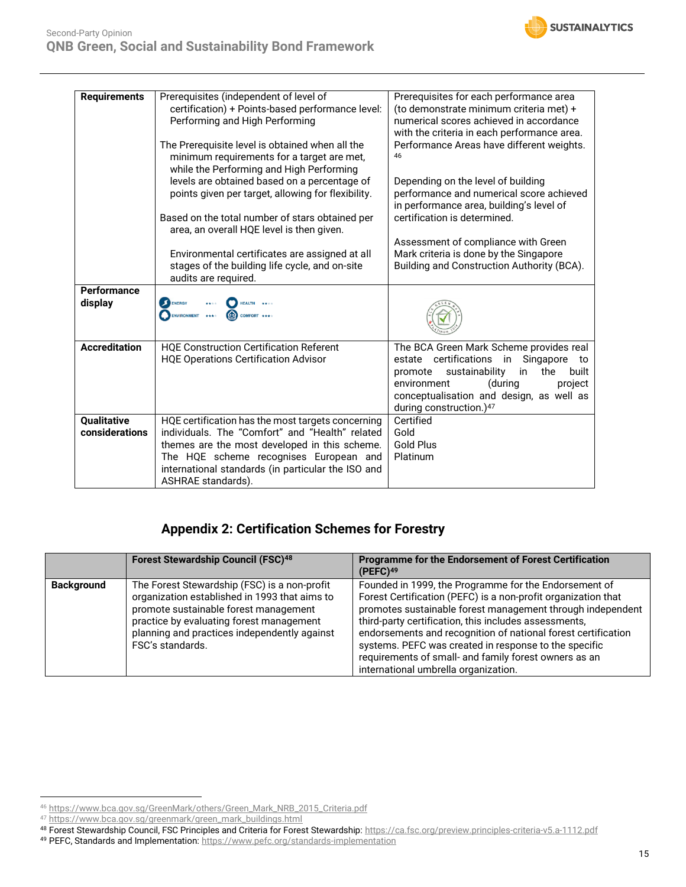

| <b>Requirements</b>           | Prerequisites (independent of level of<br>certification) + Points-based performance level:<br>Performing and High Performing                                                                                                                                                | Prerequisites for each performance area<br>(to demonstrate minimum criteria met) +<br>numerical scores achieved in accordance<br>with the criteria in each performance area.                                                                                   |
|-------------------------------|-----------------------------------------------------------------------------------------------------------------------------------------------------------------------------------------------------------------------------------------------------------------------------|----------------------------------------------------------------------------------------------------------------------------------------------------------------------------------------------------------------------------------------------------------------|
|                               | The Prerequisite level is obtained when all the<br>minimum requirements for a target are met,<br>while the Performing and High Performing<br>levels are obtained based on a percentage of<br>points given per target, allowing for flexibility.                             | Performance Areas have different weights.<br>46<br>Depending on the level of building<br>performance and numerical score achieved                                                                                                                              |
|                               | Based on the total number of stars obtained per<br>area, an overall HQE level is then given.                                                                                                                                                                                | in performance area, building's level of<br>certification is determined.                                                                                                                                                                                       |
|                               | Environmental certificates are assigned at all<br>stages of the building life cycle, and on-site<br>audits are required.                                                                                                                                                    | Assessment of compliance with Green<br>Mark criteria is done by the Singapore<br>Building and Construction Authority (BCA).                                                                                                                                    |
| Performance<br>display        | ENERGY<br><b>HEALTH</b><br>*****<br>COMFORT ****<br><b>ENVIRONMENT</b><br>****                                                                                                                                                                                              |                                                                                                                                                                                                                                                                |
| <b>Accreditation</b>          | <b>HQE Construction Certification Referent</b><br><b>HQE Operations Certification Advisor</b>                                                                                                                                                                               | The BCA Green Mark Scheme provides real<br>estate certifications<br>in Singapore to<br>sustainability<br>the<br>built<br>promote<br>in<br>(during<br>environment<br>project<br>conceptualisation and design, as well as<br>during construction.) <sup>47</sup> |
| Qualitative<br>considerations | HQE certification has the most targets concerning<br>individuals. The "Comfort" and "Health" related<br>themes are the most developed in this scheme.<br>The HQE scheme recognises European and<br>international standards (in particular the ISO and<br>ASHRAE standards). | Certified<br>Gold<br><b>Gold Plus</b><br>Platinum                                                                                                                                                                                                              |

### **Appendix 2: Certification Schemes for Forestry**

|                   | <b>Forest Stewardship Council (FSC)48</b>                                                                                                                                                                                                              | <b>Programme for the Endorsement of Forest Certification</b><br>(PEFC) <sup>49</sup>                                                                                                                                                                                                                                                                                                                                                                                     |
|-------------------|--------------------------------------------------------------------------------------------------------------------------------------------------------------------------------------------------------------------------------------------------------|--------------------------------------------------------------------------------------------------------------------------------------------------------------------------------------------------------------------------------------------------------------------------------------------------------------------------------------------------------------------------------------------------------------------------------------------------------------------------|
| <b>Background</b> | The Forest Stewardship (FSC) is a non-profit<br>organization established in 1993 that aims to<br>promote sustainable forest management<br>practice by evaluating forest management<br>planning and practices independently against<br>FSC's standards. | Founded in 1999, the Programme for the Endorsement of<br>Forest Certification (PEFC) is a non-profit organization that<br>promotes sustainable forest management through independent<br>third-party certification, this includes assessments,<br>endorsements and recognition of national forest certification<br>systems. PEFC was created in response to the specific<br>requirements of small- and family forest owners as an<br>international umbrella organization. |

<sup>46</sup> [https://www.bca.gov.sg/GreenMark/others/Green\\_Mark\\_NRB\\_2015\\_Criteria.pdf](https://www.bca.gov.sg/GreenMark/others/Green_Mark_NRB_2015_Criteria.pdf)

<sup>47</sup> [https://www.bca.gov.sg/greenmark/green\\_mark\\_buildings.html](https://www.bca.gov.sg/greenmark/green_mark_buildings.html)

<sup>48</sup> Forest Stewardship Council, FSC Principles and Criteria for Forest Stewardship[: https://ca.fsc.org/preview.principles-criteria-v5.a-1112.pdf](https://ca.fsc.org/preview.principles-criteria-v5.a-1112.pdf)

<sup>49</sup> PEFC, Standards and Implementation:<https://www.pefc.org/standards-implementation>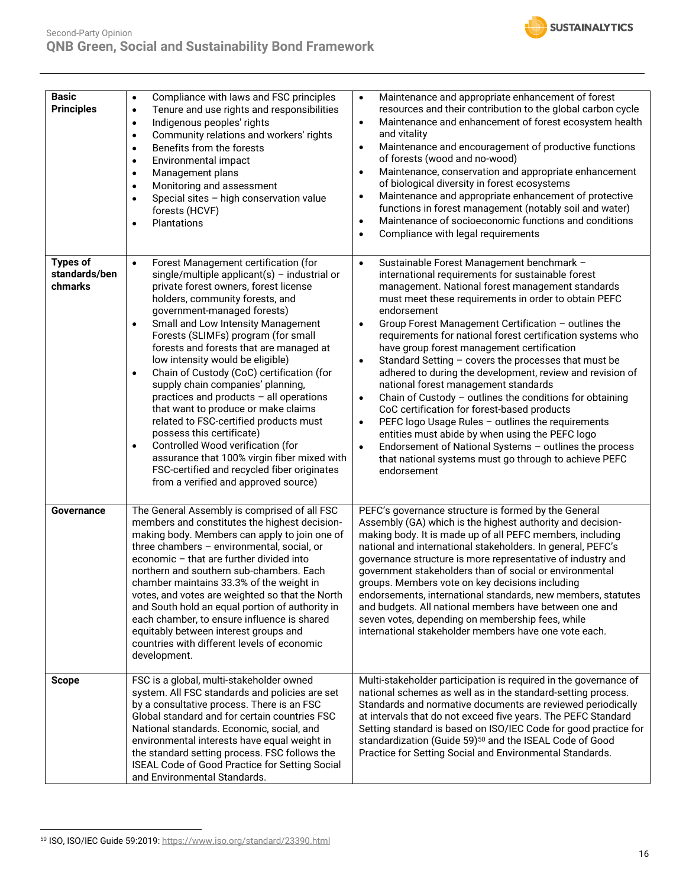

| <b>Basic</b><br><b>Principles</b>           | Compliance with laws and FSC principles<br>$\bullet$<br>Tenure and use rights and responsibilities<br>$\bullet$<br>Indigenous peoples' rights<br>$\bullet$<br>Community relations and workers' rights<br>$\bullet$<br>Benefits from the forests<br>$\bullet$<br>Environmental impact<br>$\bullet$<br>Management plans<br>$\bullet$<br>Monitoring and assessment<br>$\bullet$<br>Special sites - high conservation value<br>$\bullet$<br>forests (HCVF)<br>Plantations<br>$\bullet$                                                                                                                                                                                                                                                                                                                                                    | Maintenance and appropriate enhancement of forest<br>$\bullet$<br>resources and their contribution to the global carbon cycle<br>Maintenance and enhancement of forest ecosystem health<br>$\bullet$<br>and vitality<br>Maintenance and encouragement of productive functions<br>$\bullet$<br>of forests (wood and no-wood)<br>Maintenance, conservation and appropriate enhancement<br>$\bullet$<br>of biological diversity in forest ecosystems<br>Maintenance and appropriate enhancement of protective<br>٠<br>functions in forest management (notably soil and water)<br>Maintenance of socioeconomic functions and conditions<br>$\bullet$<br>Compliance with legal requirements<br>$\bullet$                                                                                                                                                                                                                                                                                           |
|---------------------------------------------|---------------------------------------------------------------------------------------------------------------------------------------------------------------------------------------------------------------------------------------------------------------------------------------------------------------------------------------------------------------------------------------------------------------------------------------------------------------------------------------------------------------------------------------------------------------------------------------------------------------------------------------------------------------------------------------------------------------------------------------------------------------------------------------------------------------------------------------|-----------------------------------------------------------------------------------------------------------------------------------------------------------------------------------------------------------------------------------------------------------------------------------------------------------------------------------------------------------------------------------------------------------------------------------------------------------------------------------------------------------------------------------------------------------------------------------------------------------------------------------------------------------------------------------------------------------------------------------------------------------------------------------------------------------------------------------------------------------------------------------------------------------------------------------------------------------------------------------------------|
| <b>Types of</b><br>standards/ben<br>chmarks | Forest Management certification (for<br>$\bullet$<br>single/multiple applicant(s) - industrial or<br>private forest owners, forest license<br>holders, community forests, and<br>government-managed forests)<br>Small and Low Intensity Management<br>$\bullet$<br>Forests (SLIMFs) program (for small<br>forests and forests that are managed at<br>low intensity would be eligible)<br>Chain of Custody (CoC) certification (for<br>$\bullet$<br>supply chain companies' planning,<br>practices and products - all operations<br>that want to produce or make claims<br>related to FSC-certified products must<br>possess this certificate)<br>Controlled Wood verification (for<br>$\bullet$<br>assurance that 100% virgin fiber mixed with<br>FSC-certified and recycled fiber originates<br>from a verified and approved source) | Sustainable Forest Management benchmark -<br>$\bullet$<br>international requirements for sustainable forest<br>management. National forest management standards<br>must meet these requirements in order to obtain PEFC<br>endorsement<br>Group Forest Management Certification - outlines the<br>$\bullet$<br>requirements for national forest certification systems who<br>have group forest management certification<br>Standard Setting - covers the processes that must be<br>$\bullet$<br>adhered to during the development, review and revision of<br>national forest management standards<br>Chain of Custody - outlines the conditions for obtaining<br>$\bullet$<br>CoC certification for forest-based products<br>PEFC logo Usage Rules - outlines the requirements<br>$\bullet$<br>entities must abide by when using the PEFC logo<br>Endorsement of National Systems - outlines the process<br>$\bullet$<br>that national systems must go through to achieve PEFC<br>endorsement |
| Governance                                  | The General Assembly is comprised of all FSC<br>members and constitutes the highest decision-<br>making body. Members can apply to join one of<br>three chambers - environmental, social, or<br>economic - that are further divided into<br>northern and southern sub-chambers. Each<br>chamber maintains 33.3% of the weight in<br>votes, and votes are weighted so that the North<br>and South hold an equal portion of authority in<br>each chamber, to ensure influence is shared<br>equitably between interest groups and<br>countries with different levels of economic<br>development.                                                                                                                                                                                                                                         | PEFC's governance structure is formed by the General<br>Assembly (GA) which is the highest authority and decision-<br>making body. It is made up of all PEFC members, including<br>national and international stakeholders. In general, PEFC's<br>governance structure is more representative of industry and<br>government stakeholders than of social or environmental<br>groups. Members vote on key decisions including<br>endorsements, international standards, new members, statutes<br>and budgets. All national members have between one and<br>seven votes, depending on membership fees, while<br>international stakeholder members have one vote each.                                                                                                                                                                                                                                                                                                                            |
| <b>Scope</b>                                | FSC is a global, multi-stakeholder owned<br>system. All FSC standards and policies are set<br>by a consultative process. There is an FSC<br>Global standard and for certain countries FSC<br>National standards. Economic, social, and<br>environmental interests have equal weight in<br>the standard setting process. FSC follows the<br>ISEAL Code of Good Practice for Setting Social<br>and Environmental Standards.                                                                                                                                                                                                                                                                                                                                                                                                             | Multi-stakeholder participation is required in the governance of<br>national schemes as well as in the standard-setting process.<br>Standards and normative documents are reviewed periodically<br>at intervals that do not exceed five years. The PEFC Standard<br>Setting standard is based on ISO/IEC Code for good practice for<br>standardization (Guide 59) <sup>50</sup> and the ISEAL Code of Good<br>Practice for Setting Social and Environmental Standards.                                                                                                                                                                                                                                                                                                                                                                                                                                                                                                                        |

<sup>50</sup> ISO, ISO/IEC Guide 59:2019: <https://www.iso.org/standard/23390.html>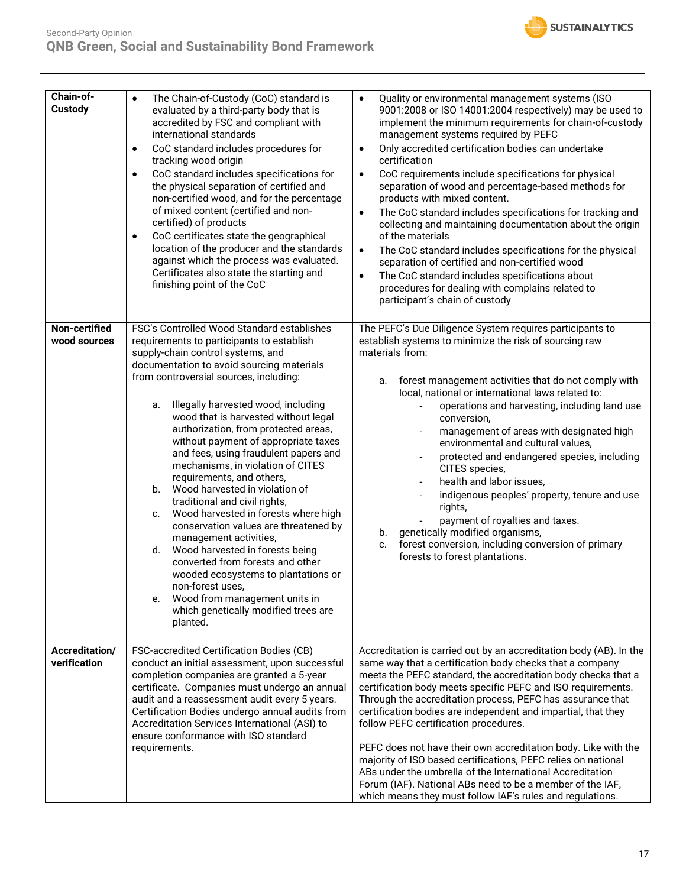

| Chain-of-<br>Custody           | The Chain-of-Custody (CoC) standard is<br>$\bullet$<br>evaluated by a third-party body that is<br>accredited by FSC and compliant with<br>international standards<br>CoC standard includes procedures for<br>$\bullet$<br>tracking wood origin<br>CoC standard includes specifications for<br>$\bullet$<br>the physical separation of certified and<br>non-certified wood, and for the percentage<br>of mixed content (certified and non-<br>certified) of products<br>CoC certificates state the geographical<br>$\bullet$<br>location of the producer and the standards<br>against which the process was evaluated.<br>Certificates also state the starting and<br>finishing point of the CoC                                                                                                                                                                                                                                  | Quality or environmental management systems (ISO<br>$\bullet$<br>9001:2008 or ISO 14001:2004 respectively) may be used to<br>implement the minimum requirements for chain-of-custody<br>management systems required by PEFC<br>Only accredited certification bodies can undertake<br>$\bullet$<br>certification<br>CoC requirements include specifications for physical<br>$\bullet$<br>separation of wood and percentage-based methods for<br>products with mixed content.<br>The CoC standard includes specifications for tracking and<br>$\bullet$<br>collecting and maintaining documentation about the origin<br>of the materials<br>The CoC standard includes specifications for the physical<br>$\bullet$<br>separation of certified and non-certified wood<br>The CoC standard includes specifications about<br>$\bullet$<br>procedures for dealing with complains related to<br>participant's chain of custody |
|--------------------------------|----------------------------------------------------------------------------------------------------------------------------------------------------------------------------------------------------------------------------------------------------------------------------------------------------------------------------------------------------------------------------------------------------------------------------------------------------------------------------------------------------------------------------------------------------------------------------------------------------------------------------------------------------------------------------------------------------------------------------------------------------------------------------------------------------------------------------------------------------------------------------------------------------------------------------------|-------------------------------------------------------------------------------------------------------------------------------------------------------------------------------------------------------------------------------------------------------------------------------------------------------------------------------------------------------------------------------------------------------------------------------------------------------------------------------------------------------------------------------------------------------------------------------------------------------------------------------------------------------------------------------------------------------------------------------------------------------------------------------------------------------------------------------------------------------------------------------------------------------------------------|
| Non-certified<br>wood sources  | FSC's Controlled Wood Standard establishes<br>requirements to participants to establish<br>supply-chain control systems, and<br>documentation to avoid sourcing materials<br>from controversial sources, including:<br>Illegally harvested wood, including<br>а.<br>wood that is harvested without legal<br>authorization, from protected areas,<br>without payment of appropriate taxes<br>and fees, using fraudulent papers and<br>mechanisms, in violation of CITES<br>requirements, and others,<br>Wood harvested in violation of<br>b.<br>traditional and civil rights,<br>Wood harvested in forests where high<br>C.<br>conservation values are threatened by<br>management activities,<br>d.<br>Wood harvested in forests being<br>converted from forests and other<br>wooded ecosystems to plantations or<br>non-forest uses,<br>Wood from management units in<br>e.<br>which genetically modified trees are<br>planted. | The PEFC's Due Diligence System requires participants to<br>establish systems to minimize the risk of sourcing raw<br>materials from:<br>forest management activities that do not comply with<br>a.<br>local, national or international laws related to:<br>operations and harvesting, including land use<br>conversion,<br>management of areas with designated high<br>environmental and cultural values,<br>protected and endangered species, including<br>CITES species,<br>health and labor issues,<br>indigenous peoples' property, tenure and use<br>rights,<br>payment of royalties and taxes.<br>genetically modified organisms,<br>b.<br>forest conversion, including conversion of primary<br>c.<br>forests to forest plantations.                                                                                                                                                                            |
| Accreditation/<br>verification | FSC-accredited Certification Bodies (CB)<br>conduct an initial assessment, upon successful<br>completion companies are granted a 5-year<br>certificate. Companies must undergo an annual<br>audit and a reassessment audit every 5 years.<br>Certification Bodies undergo annual audits from<br>Accreditation Services International (ASI) to<br>ensure conformance with ISO standard<br>requirements.                                                                                                                                                                                                                                                                                                                                                                                                                                                                                                                           | Accreditation is carried out by an accreditation body (AB). In the<br>same way that a certification body checks that a company<br>meets the PEFC standard, the accreditation body checks that a<br>certification body meets specific PEFC and ISO requirements.<br>Through the accreditation process, PEFC has assurance that<br>certification bodies are independent and impartial, that they<br>follow PEFC certification procedures.<br>PEFC does not have their own accreditation body. Like with the<br>majority of ISO based certifications, PEFC relies on national<br>ABs under the umbrella of the International Accreditation<br>Forum (IAF). National ABs need to be a member of the IAF,<br>which means they must follow IAF's rules and regulations.                                                                                                                                                       |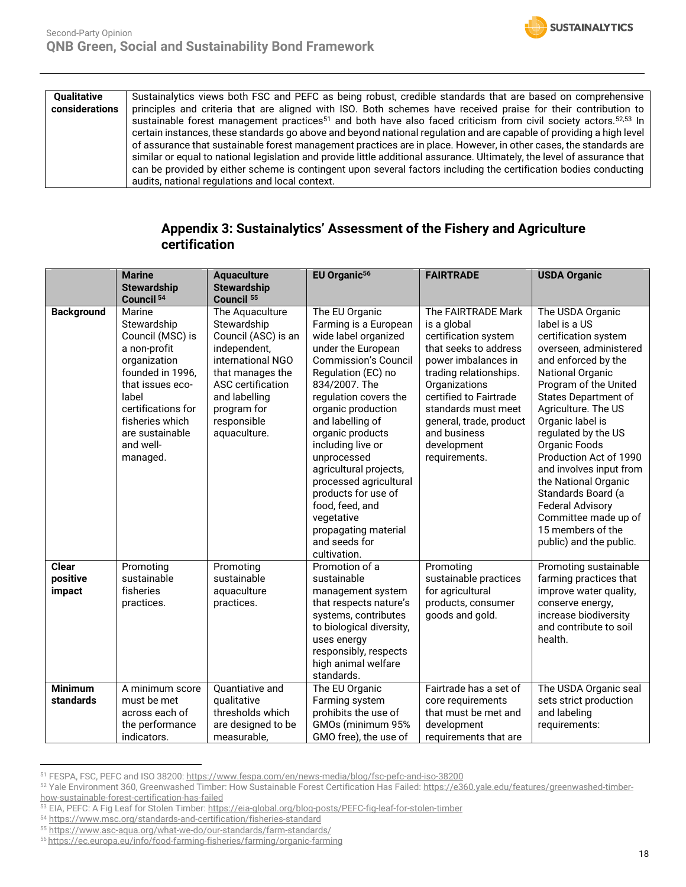

### **Appendix 3: Sustainalytics' Assessment of the Fishery and Agriculture certification**

|                                    | <b>Marine</b>                                                                                                                                                                                                   | <b>Aquaculture</b>                                                                                                                                                                                        | EU Organic <sup>56</sup>                                                                                                                                                                                                                                                                                                                                                                                                                                    | <b>FAIRTRADE</b>                                                                                                                                                                                                                                                                 | <b>USDA Organic</b>                                                                                                                                                                                                                                                                                                                                                                                                                                                                    |
|------------------------------------|-----------------------------------------------------------------------------------------------------------------------------------------------------------------------------------------------------------------|-----------------------------------------------------------------------------------------------------------------------------------------------------------------------------------------------------------|-------------------------------------------------------------------------------------------------------------------------------------------------------------------------------------------------------------------------------------------------------------------------------------------------------------------------------------------------------------------------------------------------------------------------------------------------------------|----------------------------------------------------------------------------------------------------------------------------------------------------------------------------------------------------------------------------------------------------------------------------------|----------------------------------------------------------------------------------------------------------------------------------------------------------------------------------------------------------------------------------------------------------------------------------------------------------------------------------------------------------------------------------------------------------------------------------------------------------------------------------------|
|                                    | <b>Stewardship</b>                                                                                                                                                                                              | <b>Stewardship</b>                                                                                                                                                                                        |                                                                                                                                                                                                                                                                                                                                                                                                                                                             |                                                                                                                                                                                                                                                                                  |                                                                                                                                                                                                                                                                                                                                                                                                                                                                                        |
|                                    | Council <sup>54</sup>                                                                                                                                                                                           | Council <sup>55</sup>                                                                                                                                                                                     |                                                                                                                                                                                                                                                                                                                                                                                                                                                             |                                                                                                                                                                                                                                                                                  |                                                                                                                                                                                                                                                                                                                                                                                                                                                                                        |
| <b>Background</b>                  | Marine<br>Stewardship<br>Council (MSC) is<br>a non-profit<br>organization<br>founded in 1996.<br>that issues eco-<br>label<br>certifications for<br>fisheries which<br>are sustainable<br>and well-<br>managed. | The Aquaculture<br>Stewardship<br>Council (ASC) is an<br>independent,<br>international NGO<br>that manages the<br><b>ASC</b> certification<br>and labelling<br>program for<br>responsible<br>aquaculture. | The EU Organic<br>Farming is a European<br>wide label organized<br>under the European<br><b>Commission's Council</b><br>Regulation (EC) no<br>834/2007. The<br>regulation covers the<br>organic production<br>and labelling of<br>organic products<br>including live or<br>unprocessed<br>agricultural projects,<br>processed agricultural<br>products for use of<br>food, feed, and<br>vegetative<br>propagating material<br>and seeds for<br>cultivation. | The FAIRTRADE Mark<br>is a global<br>certification system<br>that seeks to address<br>power imbalances in<br>trading relationships.<br>Organizations<br>certified to Fairtrade<br>standards must meet<br>general, trade, product<br>and business<br>development<br>requirements. | The USDA Organic<br>label is a US<br>certification system<br>overseen, administered<br>and enforced by the<br><b>National Organic</b><br>Program of the United<br><b>States Department of</b><br>Agriculture. The US<br>Organic label is<br>regulated by the US<br>Organic Foods<br>Production Act of 1990<br>and involves input from<br>the National Organic<br>Standards Board (a<br><b>Federal Advisory</b><br>Committee made up of<br>15 members of the<br>public) and the public. |
| <b>Clear</b><br>positive<br>impact | Promoting<br>sustainable<br>fisheries<br>practices.                                                                                                                                                             | Promoting<br>sustainable<br>aquaculture<br>practices.                                                                                                                                                     | Promotion of a<br>sustainable<br>management system<br>that respects nature's<br>systems, contributes<br>to biological diversity,<br>uses energy<br>responsibly, respects<br>high animal welfare<br>standards.                                                                                                                                                                                                                                               | Promoting<br>sustainable practices<br>for agricultural<br>products, consumer<br>goods and gold.                                                                                                                                                                                  | Promoting sustainable<br>farming practices that<br>improve water quality,<br>conserve energy,<br>increase biodiversity<br>and contribute to soil<br>health.                                                                                                                                                                                                                                                                                                                            |
| <b>Minimum</b><br>standards        | A minimum score<br>must be met<br>across each of<br>the performance<br>indicators.                                                                                                                              | Quantiative and<br>qualitative<br>thresholds which<br>are designed to be<br>measurable,                                                                                                                   | The EU Organic<br>Farming system<br>prohibits the use of<br>GMOs (minimum 95%<br>GMO free), the use of                                                                                                                                                                                                                                                                                                                                                      | Fairtrade has a set of<br>core requirements<br>that must be met and<br>development<br>requirements that are                                                                                                                                                                      | The USDA Organic seal<br>sets strict production<br>and labeling<br>requirements:                                                                                                                                                                                                                                                                                                                                                                                                       |

<sup>51</sup> FESPA, FSC, PEFC and ISO 38200: <https://www.fespa.com/en/news-media/blog/fsc-pefc-and-iso-38200>

**SUSTAINALYTICS** 

<sup>52</sup> Yale Environment 360, Greenwashed Timber: How Sustainable Forest Certification Has Failed: [https://e360.yale.edu/features/greenwashed-timber](https://e360.yale.edu/features/greenwashed-timber-how-sustainable-forest-certification-has-failed)[how-sustainable-forest-certification-has-failed](https://e360.yale.edu/features/greenwashed-timber-how-sustainable-forest-certification-has-failed)

<sup>53</sup> EIA, PEFC: A Fig Leaf for Stolen Timber[: https://eia-global.org/blog-posts/PEFC-fig-leaf-for-stolen-timber](https://eia-global.org/blog-posts/PEFC-fig-leaf-for-stolen-timber)

<sup>54</sup> <https://www.msc.org/standards-and-certification/fisheries-standard>

<sup>55</sup> <https://www.asc-aqua.org/what-we-do/our-standards/farm-standards/>

<sup>56</sup> https://ec.europa.eu/info/food-farming-fisheries/farming/organic-farming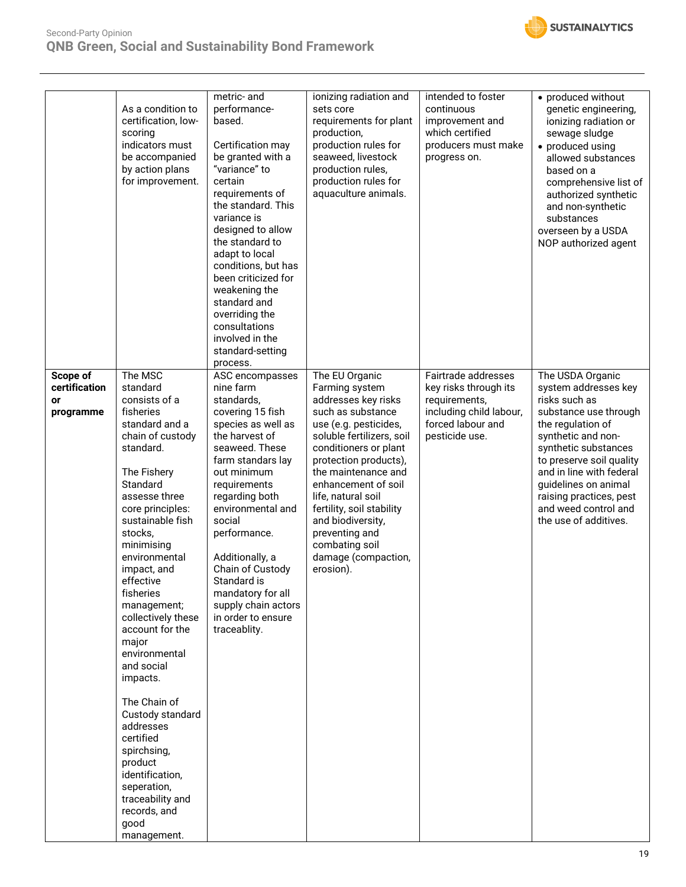



|                                              | As a condition to<br>certification, low-<br>scoring<br>indicators must<br>be accompanied<br>by action plans<br>for improvement.                                                                                                                                                                                                                                                                                                                                                                                                                                              | metric- and<br>performance-<br>based.<br>Certification may<br>be granted with a<br>"variance" to<br>certain<br>requirements of<br>the standard. This<br>variance is<br>designed to allow<br>the standard to<br>adapt to local<br>conditions, but has<br>been criticized for<br>weakening the<br>standard and<br>overriding the<br>consultations<br>involved in the<br>standard-setting<br>process. | ionizing radiation and<br>sets core<br>requirements for plant<br>production,<br>production rules for<br>seaweed, livestock<br>production rules,<br>production rules for<br>aquaculture animals.                                                                                                                                                                                    | intended to foster<br>continuous<br>improvement and<br>which certified<br>producers must make<br>progress on.                   | • produced without<br>genetic engineering,<br>ionizing radiation or<br>sewage sludge<br>• produced using<br>allowed substances<br>based on a<br>comprehensive list of<br>authorized synthetic<br>and non-synthetic<br>substances<br>overseen by a USDA<br>NOP authorized agent                                    |
|----------------------------------------------|------------------------------------------------------------------------------------------------------------------------------------------------------------------------------------------------------------------------------------------------------------------------------------------------------------------------------------------------------------------------------------------------------------------------------------------------------------------------------------------------------------------------------------------------------------------------------|----------------------------------------------------------------------------------------------------------------------------------------------------------------------------------------------------------------------------------------------------------------------------------------------------------------------------------------------------------------------------------------------------|------------------------------------------------------------------------------------------------------------------------------------------------------------------------------------------------------------------------------------------------------------------------------------------------------------------------------------------------------------------------------------|---------------------------------------------------------------------------------------------------------------------------------|-------------------------------------------------------------------------------------------------------------------------------------------------------------------------------------------------------------------------------------------------------------------------------------------------------------------|
| Scope of<br>certification<br>or<br>programme | The MSC<br>standard<br>consists of a<br>fisheries<br>standard and a<br>chain of custody<br>standard.<br>The Fishery<br>Standard<br>assesse three<br>core principles:<br>sustainable fish<br>stocks,<br>minimising<br>environmental<br>impact, and<br>effective<br>fisheries<br>management;<br>collectively these<br>account for the<br>major<br>environmental<br>and social<br>impacts.<br>The Chain of<br>Custody standard<br>addresses<br>certified<br>spirchsing,<br>product<br>identification,<br>seperation,<br>traceability and<br>records, and<br>good<br>management. | ASC encompasses<br>nine farm<br>standards,<br>covering 15 fish<br>species as well as<br>the harvest of<br>seaweed. These<br>farm standars lay<br>out minimum<br>requirements<br>regarding both<br>environmental and<br>social<br>performance.<br>Additionally, a<br>Chain of Custody<br>Standard is<br>mandatory for all<br>supply chain actors<br>in order to ensure<br>traceablity.              | The EU Organic<br>Farming system<br>addresses key risks<br>such as substance<br>use (e.g. pesticides,<br>soluble fertilizers, soil<br>conditioners or plant<br>protection products),<br>the maintenance and<br>enhancement of soil<br>life, natural soil<br>fertility, soil stability<br>and biodiversity,<br>preventing and<br>combating soil<br>damage (compaction,<br>erosion). | Fairtrade addresses<br>key risks through its<br>requirements,<br>including child labour,<br>forced labour and<br>pesticide use. | The USDA Organic<br>system addresses key<br>risks such as<br>substance use through<br>the regulation of<br>synthetic and non-<br>synthetic substances<br>to preserve soil quality<br>and in line with federal<br>guidelines on animal<br>raising practices, pest<br>and weed control and<br>the use of additives. |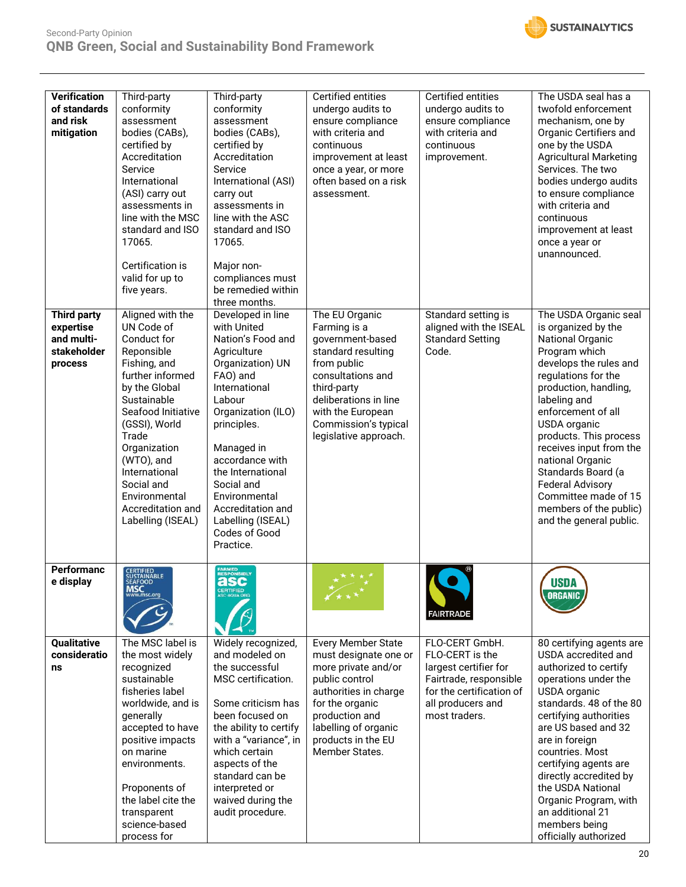



| <b>Verification</b><br>of standards<br>and risk<br>mitigation<br><b>Third party</b><br>expertise<br>and multi- | Third-party<br>conformity<br>assessment<br>bodies (CABs),<br>certified by<br>Accreditation<br>Service<br>International<br>(ASI) carry out<br>assessments in<br>line with the MSC<br>standard and ISO<br>17065.<br>Certification is<br>valid for up to<br>five years.<br>Aligned with the<br>UN Code of<br>Conduct for                                                                                                                                                                                                                                                                                                                                     | Third-party<br>conformity<br>assessment<br>bodies (CABs),<br>certified by<br>Accreditation<br>Service<br>International (ASI)<br>carry out<br>assessments in<br>line with the ASC<br>standard and ISO<br>17065.<br>Major non-<br>compliances must<br>be remedied within<br>three months.<br>Developed in line<br>with United<br>Nation's Food and | Certified entities<br>undergo audits to<br>ensure compliance<br>with criteria and<br>continuous<br>improvement at least<br>once a year, or more<br>often based on a risk<br>assessment.<br>The EU Organic<br>Farming is a<br>government-based | Certified entities<br>undergo audits to<br>ensure compliance<br>with criteria and<br>continuous<br>improvement.<br>Standard setting is<br>aligned with the ISEAL<br><b>Standard Setting</b> | The USDA seal has a<br>twofold enforcement<br>mechanism, one by<br>Organic Certifiers and<br>one by the USDA<br><b>Agricultural Marketing</b><br>Services. The two<br>bodies undergo audits<br>to ensure compliance<br>with criteria and<br>continuous<br>improvement at least<br>once a year or<br>unannounced.<br>The USDA Organic seal<br>is organized by the<br>National Organic             |  |
|----------------------------------------------------------------------------------------------------------------|-----------------------------------------------------------------------------------------------------------------------------------------------------------------------------------------------------------------------------------------------------------------------------------------------------------------------------------------------------------------------------------------------------------------------------------------------------------------------------------------------------------------------------------------------------------------------------------------------------------------------------------------------------------|--------------------------------------------------------------------------------------------------------------------------------------------------------------------------------------------------------------------------------------------------------------------------------------------------------------------------------------------------|-----------------------------------------------------------------------------------------------------------------------------------------------------------------------------------------------------------------------------------------------|---------------------------------------------------------------------------------------------------------------------------------------------------------------------------------------------|--------------------------------------------------------------------------------------------------------------------------------------------------------------------------------------------------------------------------------------------------------------------------------------------------------------------------------------------------------------------------------------------------|--|
| stakeholder<br>process                                                                                         | Reponsible<br>Agriculture<br>standard resulting<br>from public<br>Fishing, and<br>Organization) UN<br>further informed<br>FAO) and<br>consultations and<br>by the Global<br>International<br>third-party<br>deliberations in line<br>Sustainable<br>Labour<br>Seafood Initiative<br>Organization (ILO)<br>with the European<br>(GSSI), World<br>principles.<br>Trade<br>Organization<br>Managed in<br>accordance with<br>(WTO), and<br>International<br>the International<br>Social and<br>Social and<br>Environmental<br>Environmental<br>Accreditation and<br>Accreditation and<br>Labelling (ISEAL)<br>Labelling (ISEAL)<br>Codes of Good<br>Practice. |                                                                                                                                                                                                                                                                                                                                                  | Commission's typical<br>legislative approach.                                                                                                                                                                                                 | Code.                                                                                                                                                                                       | Program which<br>develops the rules and<br>regulations for the<br>production, handling,<br>labeling and<br>enforcement of all<br>USDA organic<br>products. This process<br>receives input from the<br>national Organic<br>Standards Board (a<br><b>Federal Advisory</b><br>Committee made of 15<br>members of the public)<br>and the general public.                                             |  |
| Performanc<br>e display                                                                                        | CERTIFIED<br>SUSTAINABLE<br>MSC<br>www.msc.org                                                                                                                                                                                                                                                                                                                                                                                                                                                                                                                                                                                                            | FARMED<br>RESPONSIBLY<br>CERTIFIED                                                                                                                                                                                                                                                                                                               | $(x * x)$                                                                                                                                                                                                                                     | <b>FAIRTRADE</b>                                                                                                                                                                            | <b>USDA</b><br><b>ORGANIC</b>                                                                                                                                                                                                                                                                                                                                                                    |  |
| Qualitative<br>consideratio<br>ns                                                                              | The MSC label is<br>the most widely<br>recognized<br>sustainable<br>fisheries label<br>worldwide, and is<br>generally<br>accepted to have<br>positive impacts<br>on marine<br>environments.<br>Proponents of<br>the label cite the<br>transparent<br>science-based<br>process for                                                                                                                                                                                                                                                                                                                                                                         | Widely recognized,<br>and modeled on<br>the successful<br>MSC certification.<br>Some criticism has<br>been focused on<br>the ability to certify<br>with a "variance", in<br>which certain<br>aspects of the<br>standard can be<br>interpreted or<br>waived during the<br>audit procedure.                                                        | Every Member State<br>must designate one or<br>more private and/or<br>public control<br>authorities in charge<br>for the organic<br>production and<br>labelling of organic<br>products in the EU<br>Member States.                            | FLO-CERT GmbH.<br>FLO-CERT is the<br>largest certifier for<br>Fairtrade, responsible<br>for the certification of<br>all producers and<br>most traders.                                      | 80 certifying agents are<br>USDA accredited and<br>authorized to certify<br>operations under the<br>USDA organic<br>standards. 48 of the 80<br>certifying authorities<br>are US based and 32<br>are in foreign<br>countries. Most<br>certifying agents are<br>directly accredited by<br>the USDA National<br>Organic Program, with<br>an additional 21<br>members being<br>officially authorized |  |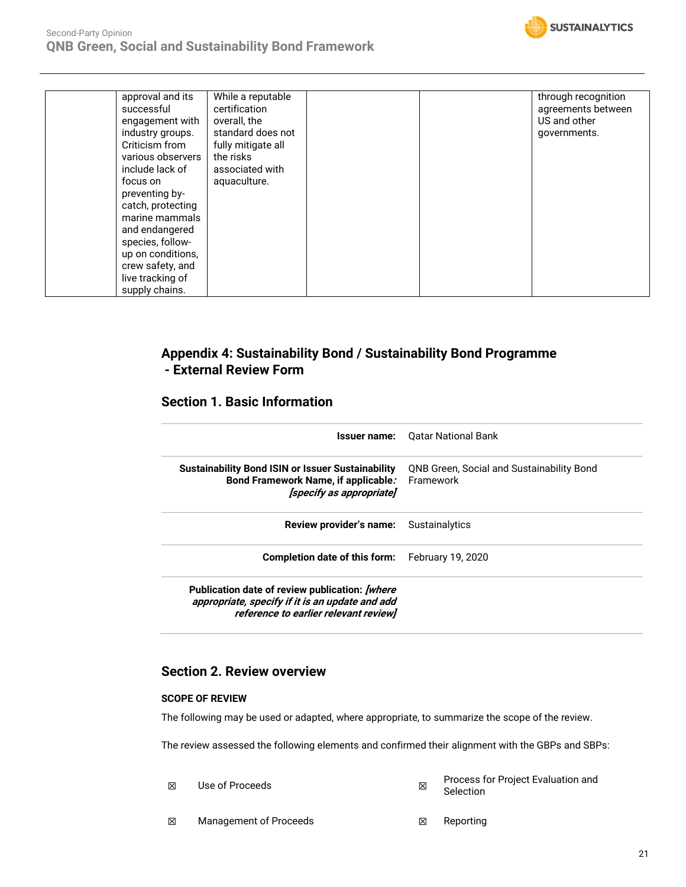

| successful<br>certification<br>overall, the<br>engagement with<br>standard does not<br>industry groups.<br>Criticism from<br>fully mitigate all<br>the risks<br>various observers<br>include lack of<br>associated with<br>aquaculture.<br>focus on<br>preventing by-<br>catch, protecting<br>marine mammals<br>and endangered<br>species, follow-<br>up on conditions,<br>crew safety, and<br>live tracking of<br>supply chains. | US and other<br>governments. |
|-----------------------------------------------------------------------------------------------------------------------------------------------------------------------------------------------------------------------------------------------------------------------------------------------------------------------------------------------------------------------------------------------------------------------------------|------------------------------|
|-----------------------------------------------------------------------------------------------------------------------------------------------------------------------------------------------------------------------------------------------------------------------------------------------------------------------------------------------------------------------------------------------------------------------------------|------------------------------|

### **Appendix 4: Sustainability Bond / Sustainability Bond Programme - External Review Form**

### **Section 1. Basic Information**

|                                                                                                                                                     | <b>Issuer name:</b> Oatar National Bank                       |
|-----------------------------------------------------------------------------------------------------------------------------------------------------|---------------------------------------------------------------|
| <b>Sustainability Bond ISIN or Issuer Sustainability</b><br>Bond Framework Name, if applicable.<br>[specify as appropriate]                         | <b>QNB Green, Social and Sustainability Bond</b><br>Framework |
| Review provider's name:                                                                                                                             | Sustainalytics                                                |
| Completion date of this form:                                                                                                                       | February 19, 2020                                             |
| Publication date of review publication: <i>[where</i> ]<br>appropriate, specify if it is an update and add<br>reference to earlier relevant review] |                                                               |

### **Section 2. Review overview**

### **SCOPE OF REVIEW**

The following may be used or adapted, where appropriate, to summarize the scope of the review.

The review assessed the following elements and confirmed their alignment with the GBPs and SBPs:

- ☒ Use of Proceeds ☒ Process for Project Evaluation and Selection
- **<b>⊠** Management of Proceeds **I Reporting I** Reporting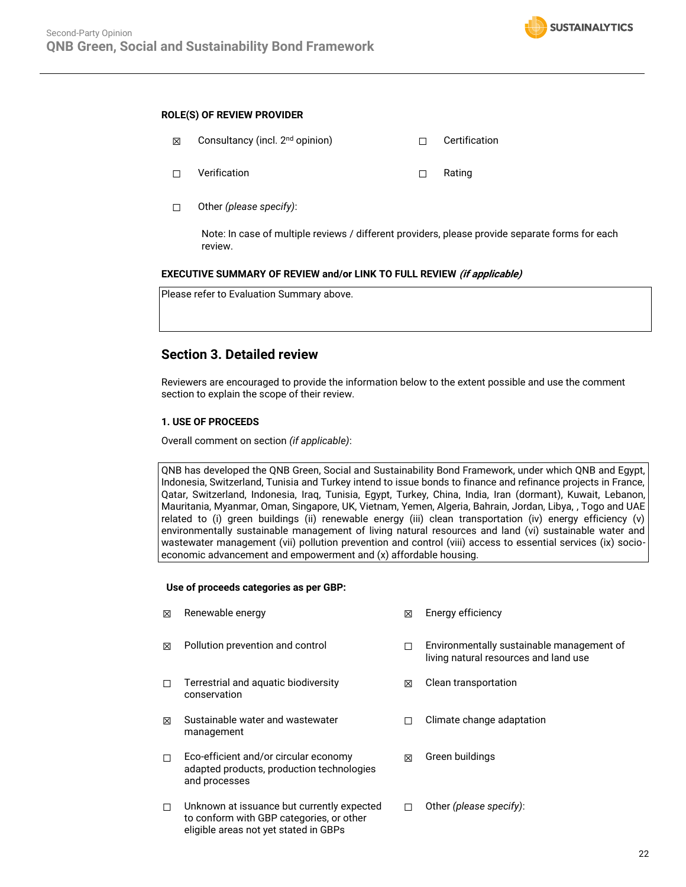

#### **ROLE(S) OF REVIEW PROVIDER**

| ⊠ | Consultancy (incl. 2 <sup>nd</sup> opinion) |   | Certification |
|---|---------------------------------------------|---|---------------|
|   | Verification                                | П | Rating        |

☐ Other *(please specify)*:

Note: In case of multiple reviews / different providers, please provide separate forms for each review.

#### **EXECUTIVE SUMMARY OF REVIEW and/or LINK TO FULL REVIEW (if applicable)**

| Please refer to Evaluation Summary above. |  |  |  |
|-------------------------------------------|--|--|--|
|-------------------------------------------|--|--|--|

### **Section 3. Detailed review**

Reviewers are encouraged to provide the information below to the extent possible and use the comment section to explain the scope of their review.

### **1. USE OF PROCEEDS**

Overall comment on section *(if applicable)*:

QNB has developed the QNB Green, Social and Sustainability Bond Framework, under which QNB and Egypt, Indonesia, Switzerland, Tunisia and Turkey intend to issue bonds to finance and refinance projects in France, Qatar, Switzerland, Indonesia, Iraq, Tunisia, Egypt, Turkey, China, India, Iran (dormant), Kuwait, Lebanon, Mauritania, Myanmar, Oman, Singapore, UK, Vietnam, Yemen, Algeria, Bahrain, Jordan, Libya, , Togo and UAE related to (i) green buildings (ii) renewable energy (iii) clean transportation (iv) energy efficiency (v) environmentally sustainable management of living natural resources and land (vi) sustainable water and wastewater management (vii) pollution prevention and control (viii) access to essential services (ix) socioeconomic advancement and empowerment and (x) affordable housing.

#### **Use of proceeds categories as per GBP:**

- ☒ Renewable energy ☒ Energy efficiency
- 
- ☐ Terrestrial and aquatic biodiversity conservation
- ☒ Sustainable water and wastewater management
- ☐ Eco-efficient and/or circular economy adapted products, production technologies and processes
- ☐ Unknown at issuance but currently expected to conform with GBP categories, or other eligible areas not yet stated in GBPs
- 
- ☒ Pollution prevention and control ☐ Environmentally sustainable management of living natural resources and land use
	- ☒ Clean transportation
	- ☐ Climate change adaptation
	- ☒ Green buildings
	- ☐ Other *(please specify)*: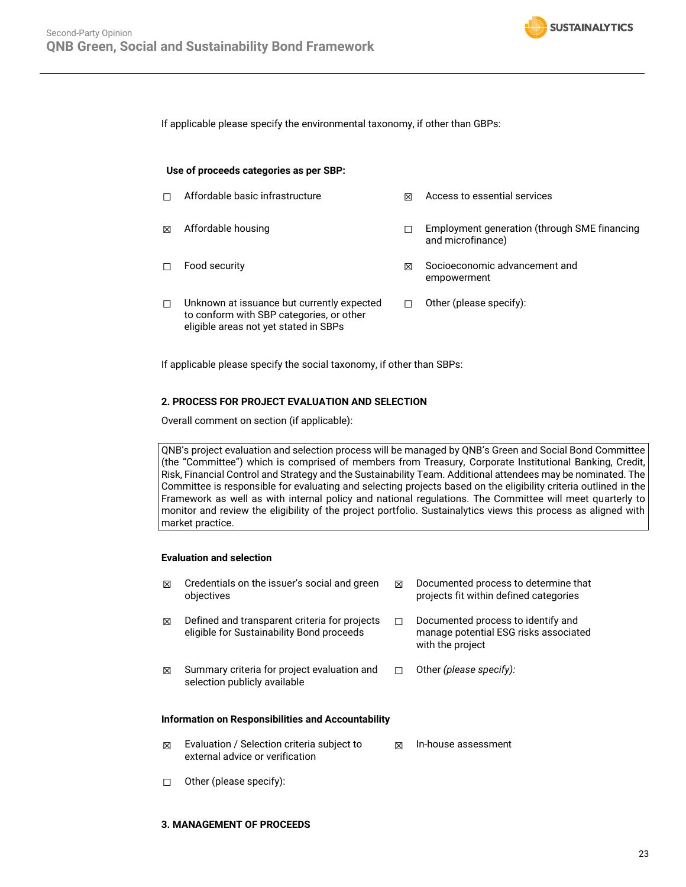

If applicable please specify the environmental taxonomy, if other than GBPs:

#### **Use of proceeds categories as per SBP:**

| п | Affordable basic infrastructure                                                                                                 | ⊠ | Access to essential services                                      |
|---|---------------------------------------------------------------------------------------------------------------------------------|---|-------------------------------------------------------------------|
| 冈 | Affordable housing                                                                                                              |   | Employment generation (through SME financing<br>and microfinance) |
| п | Food security                                                                                                                   | ⊠ | Socioeconomic advancement and<br>empowerment                      |
| п | Unknown at issuance but currently expected<br>to conform with SBP categories, or other<br>eligible areas not yet stated in SBPs |   | Other (please specify):                                           |

If applicable please specify the social taxonomy, if other than SBPs:

#### **2. PROCESS FOR PROJECT EVALUATION AND SELECTION**

Overall comment on section (if applicable):

QNB's project evaluation and selection process will be managed by QNB's Green and Social Bond Committee (the "Committee") which is comprised of members from Treasury, Corporate Institutional Banking, Credit, Risk, Financial Control and Strategy and the Sustainability Team. Additional attendees may be nominated. The Committee is responsible for evaluating and selecting projects based on the eligibility criteria outlined in the Framework as well as with internal policy and national regulations. The Committee will meet quarterly to monitor and review the eligibility of the project portfolio. Sustainalytics views this process as aligned with market practice.

#### **Evaluation and selection**

| ⊠                                                         | Credentials on the issuer's social and green<br>objectives                                 | 冈 | Documented process to determine that<br>projects fit within defined categories                  |  |  |
|-----------------------------------------------------------|--------------------------------------------------------------------------------------------|---|-------------------------------------------------------------------------------------------------|--|--|
| ⊠                                                         | Defined and transparent criteria for projects<br>eligible for Sustainability Bond proceeds |   | Documented process to identify and<br>manage potential ESG risks associated<br>with the project |  |  |
| ⊠                                                         | Summary criteria for project evaluation and<br>selection publicly available                |   | Other (please specify):                                                                         |  |  |
| <b>Information on Responsibilities and Accountability</b> |                                                                                            |   |                                                                                                 |  |  |

- ☒ Evaluation / Selection criteria subject to external advice or verification ☒ In-house assessment
- ☐ Other (please specify):

#### **3. MANAGEMENT OF PROCEEDS**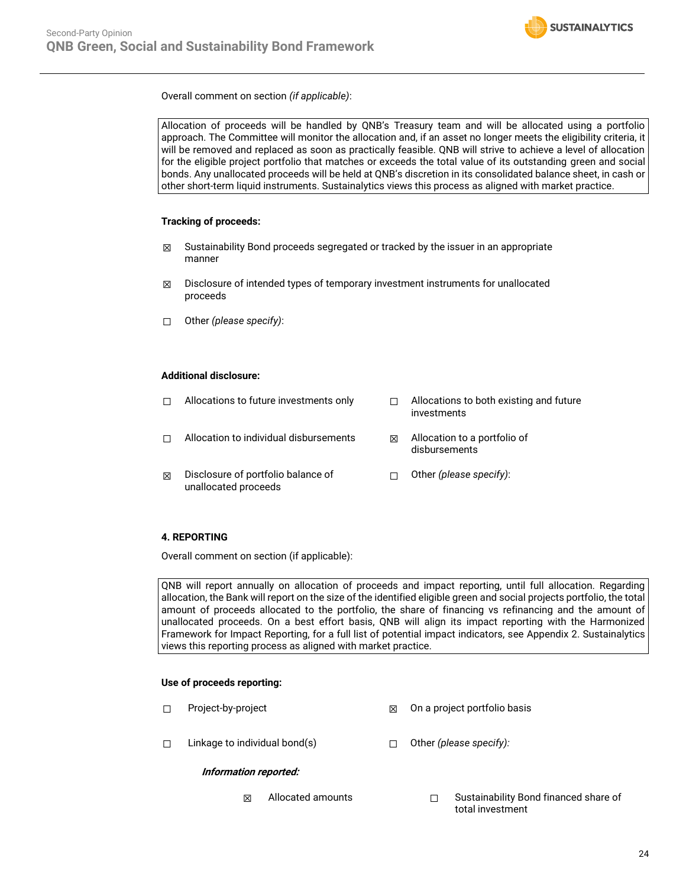

Overall comment on section *(if applicable)*:



### **4. REPORTING**

Overall comment on section (if applicable):

QNB will report annually on allocation of proceeds and impact reporting, until full allocation. Regarding allocation, the Bank will report on the size of the identified eligible green and social projects portfolio, the total amount of proceeds allocated to the portfolio, the share of financing vs refinancing and the amount of unallocated proceeds. On a best effort basis, QNB will align its impact reporting with the Harmonized Framework for Impact Reporting, for a full list of potential impact indicators, see Appendix 2. Sustainalytics views this reporting process as aligned with market practice.

### **Use of proceeds reporting:**

- ☐ Project-by-project ☒ On a project portfolio basis
- ☐ Linkage to individual bond(s) ☐ Other *(please specify):*

### **Information reported:**

☒ Allocated amounts ☐ Sustainability Bond financed share of total investment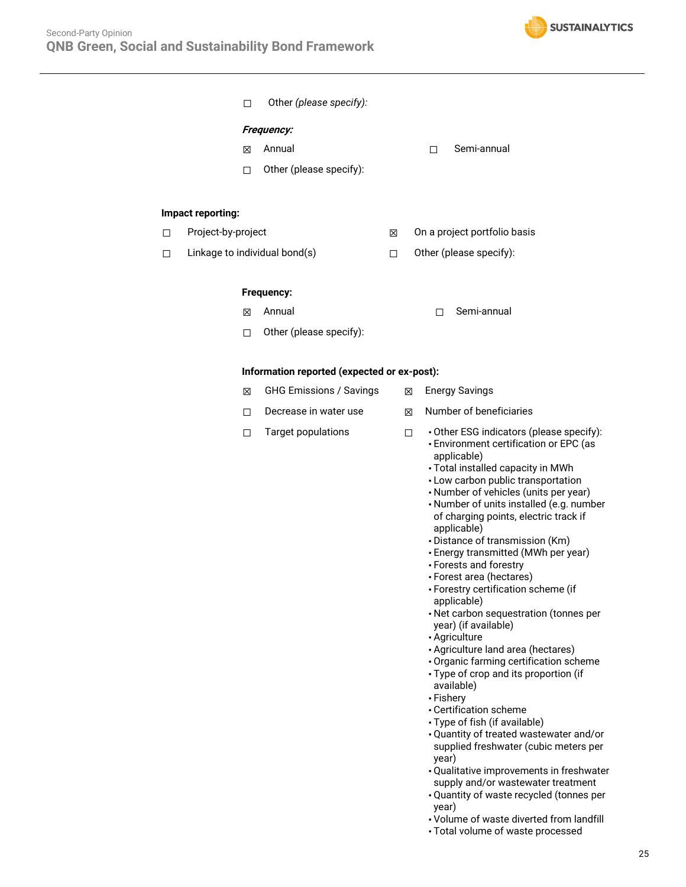

|   |                    | □ | Other (please specify):                     |   |   |                             |                                                                                                                                                                                                                                                                                                                                                                                                                                                                                                                                                                                                                                                                                                                                                                                                                                                                                                                                                                                                                                                                    |
|---|--------------------|---|---------------------------------------------|---|---|-----------------------------|--------------------------------------------------------------------------------------------------------------------------------------------------------------------------------------------------------------------------------------------------------------------------------------------------------------------------------------------------------------------------------------------------------------------------------------------------------------------------------------------------------------------------------------------------------------------------------------------------------------------------------------------------------------------------------------------------------------------------------------------------------------------------------------------------------------------------------------------------------------------------------------------------------------------------------------------------------------------------------------------------------------------------------------------------------------------|
|   |                    |   | <b>Frequency:</b>                           |   |   |                             |                                                                                                                                                                                                                                                                                                                                                                                                                                                                                                                                                                                                                                                                                                                                                                                                                                                                                                                                                                                                                                                                    |
|   |                    | ⊠ | Annual                                      |   |   | □                           | Semi-annual                                                                                                                                                                                                                                                                                                                                                                                                                                                                                                                                                                                                                                                                                                                                                                                                                                                                                                                                                                                                                                                        |
|   |                    |   | Other (please specify):                     |   |   |                             |                                                                                                                                                                                                                                                                                                                                                                                                                                                                                                                                                                                                                                                                                                                                                                                                                                                                                                                                                                                                                                                                    |
|   |                    | □ |                                             |   |   |                             |                                                                                                                                                                                                                                                                                                                                                                                                                                                                                                                                                                                                                                                                                                                                                                                                                                                                                                                                                                                                                                                                    |
|   | Impact reporting:  |   |                                             |   |   |                             |                                                                                                                                                                                                                                                                                                                                                                                                                                                                                                                                                                                                                                                                                                                                                                                                                                                                                                                                                                                                                                                                    |
| □ | Project-by-project |   |                                             | ⊠ |   |                             | On a project portfolio basis                                                                                                                                                                                                                                                                                                                                                                                                                                                                                                                                                                                                                                                                                                                                                                                                                                                                                                                                                                                                                                       |
| □ |                    |   | Linkage to individual bond(s)               | □ |   |                             | Other (please specify):                                                                                                                                                                                                                                                                                                                                                                                                                                                                                                                                                                                                                                                                                                                                                                                                                                                                                                                                                                                                                                            |
|   |                    |   | Frequency:                                  |   |   |                             |                                                                                                                                                                                                                                                                                                                                                                                                                                                                                                                                                                                                                                                                                                                                                                                                                                                                                                                                                                                                                                                                    |
|   |                    | ⊠ | Annual                                      |   |   | П                           | Semi-annual                                                                                                                                                                                                                                                                                                                                                                                                                                                                                                                                                                                                                                                                                                                                                                                                                                                                                                                                                                                                                                                        |
|   |                    | ◘ | Other (please specify):                     |   |   |                             |                                                                                                                                                                                                                                                                                                                                                                                                                                                                                                                                                                                                                                                                                                                                                                                                                                                                                                                                                                                                                                                                    |
|   |                    |   | Information reported (expected or ex-post): |   |   |                             |                                                                                                                                                                                                                                                                                                                                                                                                                                                                                                                                                                                                                                                                                                                                                                                                                                                                                                                                                                                                                                                                    |
|   |                    | ⊠ | <b>GHG Emissions / Savings</b>              |   | X |                             | <b>Energy Savings</b>                                                                                                                                                                                                                                                                                                                                                                                                                                                                                                                                                                                                                                                                                                                                                                                                                                                                                                                                                                                                                                              |
|   |                    | □ | Decrease in water use                       |   | ⊠ |                             | Number of beneficiaries                                                                                                                                                                                                                                                                                                                                                                                                                                                                                                                                                                                                                                                                                                                                                                                                                                                                                                                                                                                                                                            |
|   |                    | □ | Target populations                          |   | □ | • Fishery<br>year)<br>year) | • Other ESG indicators (please specify):<br>• Environment certification or EPC (as<br>applicable)<br>· Total installed capacity in MWh<br>• Low carbon public transportation<br>• Number of vehicles (units per year)<br>• Number of units installed (e.g. number<br>of charging points, electric track if<br>applicable)<br>· Distance of transmission (Km)<br>• Energy transmitted (MWh per year)<br>• Forests and forestry<br>• Forest area (hectares)<br>• Forestry certification scheme (if<br>applicable)<br>• Net carbon sequestration (tonnes per<br>year) (if available)<br>• Agriculture<br>· Agriculture land area (hectares)<br>· Organic farming certification scheme<br>• Type of crop and its proportion (if<br>available)<br>• Certification scheme<br>· Type of fish (if available)<br>• Quantity of treated wastewater and/or<br>supplied freshwater (cubic meters per<br>• Qualitative improvements in freshwater<br>supply and/or wastewater treatment<br>• Quantity of waste recycled (tonnes per<br>• Volume of waste diverted from landfill |

• Total volume of waste processed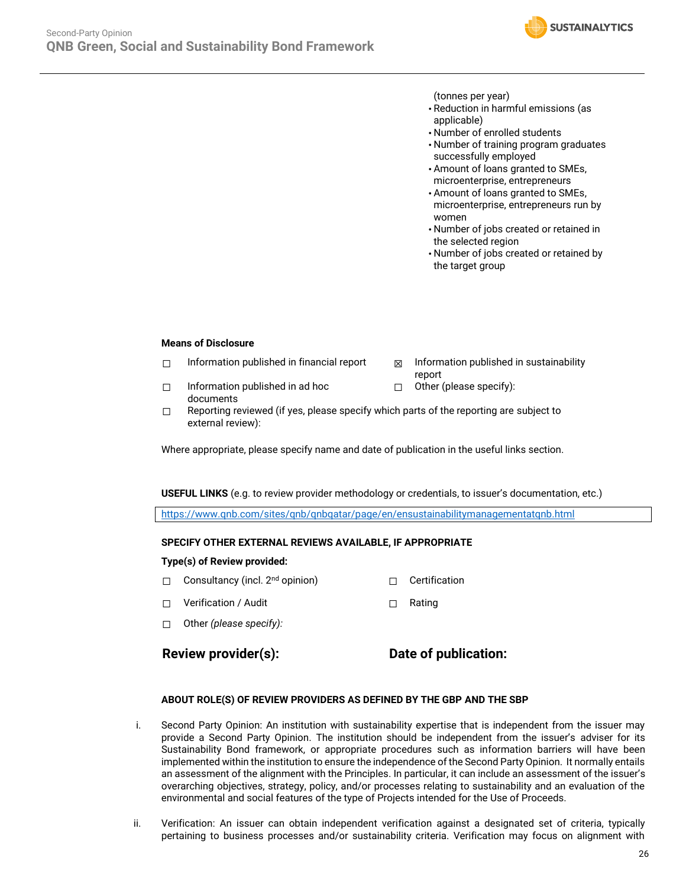

(tonnes per year)

- Reduction in harmful emissions (as applicable)
- Number of enrolled students
- Number of training program graduates successfully employed
- Amount of loans granted to SMEs, microenterprise, entrepreneurs
- Amount of loans granted to SMEs, microenterprise, entrepreneurs run by women
- Number of jobs created or retained in the selected region
- Number of jobs created or retained by the target group

#### **Means of Disclosure**

- $\Box$  Information published in financial report  $\boxtimes$  Information published in sustainability
	- report
- ☐ Information published in ad hoc documents
- ☐ Other (please specify):
- $\Box$  Reporting reviewed (if yes, please specify which parts of the reporting are subject to external review):

Where appropriate, please specify name and date of publication in the useful links section.

**USEFUL LINKS** (e.g. to review provider methodology or credentials, to issuer's documentation, etc.)

<https://www.qnb.com/sites/qnb/qnbqatar/page/en/ensustainabilitymanagementatqnb.html>

### **SPECIFY OTHER EXTERNAL REVIEWS AVAILABLE, IF APPROPRIATE**

### **Type(s) of Review provided:**

- □ Consultancy (incl. 2<sup>nd</sup> opinion) □ □ Certification
- ☐ Verification / Audit ☐ Rating
- ☐ Other *(please specify):*

### **Review provider(s): Date of publication:**

### **ABOUT ROLE(S) OF REVIEW PROVIDERS AS DEFINED BY THE GBP AND THE SBP**

- i. Second Party Opinion: An institution with sustainability expertise that is independent from the issuer may provide a Second Party Opinion. The institution should be independent from the issuer's adviser for its Sustainability Bond framework, or appropriate procedures such as information barriers will have been implemented within the institution to ensure the independence of the Second Party Opinion. It normally entails an assessment of the alignment with the Principles. In particular, it can include an assessment of the issuer's overarching objectives, strategy, policy, and/or processes relating to sustainability and an evaluation of the environmental and social features of the type of Projects intended for the Use of Proceeds.
- ii. Verification: An issuer can obtain independent verification against a designated set of criteria, typically pertaining to business processes and/or sustainability criteria. Verification may focus on alignment with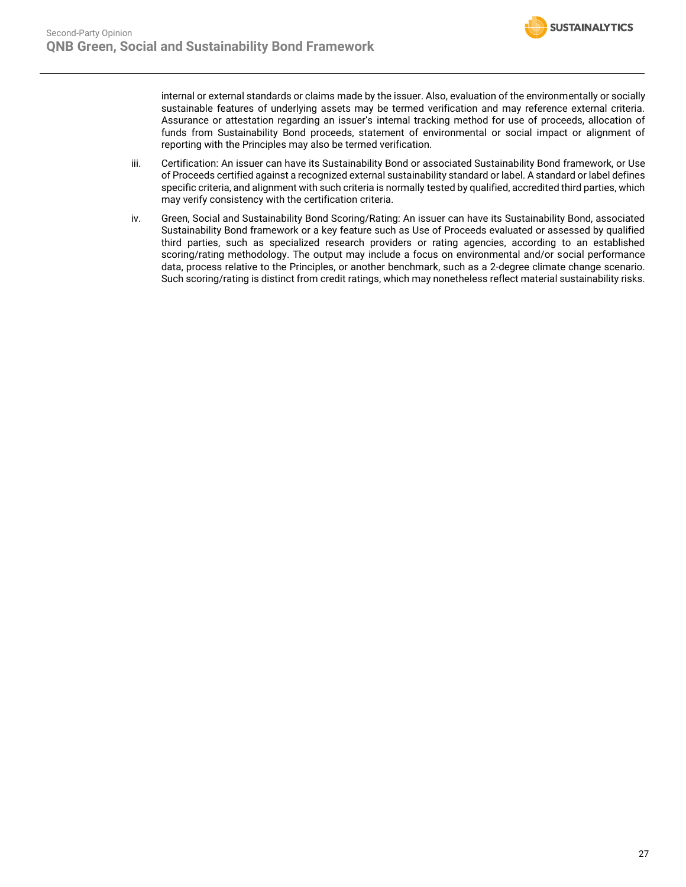

internal or external standards or claims made by the issuer. Also, evaluation of the environmentally or socially sustainable features of underlying assets may be termed verification and may reference external criteria. Assurance or attestation regarding an issuer's internal tracking method for use of proceeds, allocation of funds from Sustainability Bond proceeds, statement of environmental or social impact or alignment of reporting with the Principles may also be termed verification.

- iii. Certification: An issuer can have its Sustainability Bond or associated Sustainability Bond framework, or Use of Proceeds certified against a recognized external sustainability standard or label. A standard or label defines specific criteria, and alignment with such criteria is normally tested by qualified, accredited third parties, which may verify consistency with the certification criteria.
- iv. Green, Social and Sustainability Bond Scoring/Rating: An issuer can have its Sustainability Bond, associated Sustainability Bond framework or a key feature such as Use of Proceeds evaluated or assessed by qualified third parties, such as specialized research providers or rating agencies, according to an established scoring/rating methodology. The output may include a focus on environmental and/or social performance data, process relative to the Principles, or another benchmark, such as a 2-degree climate change scenario. Such scoring/rating is distinct from credit ratings, which may nonetheless reflect material sustainability risks.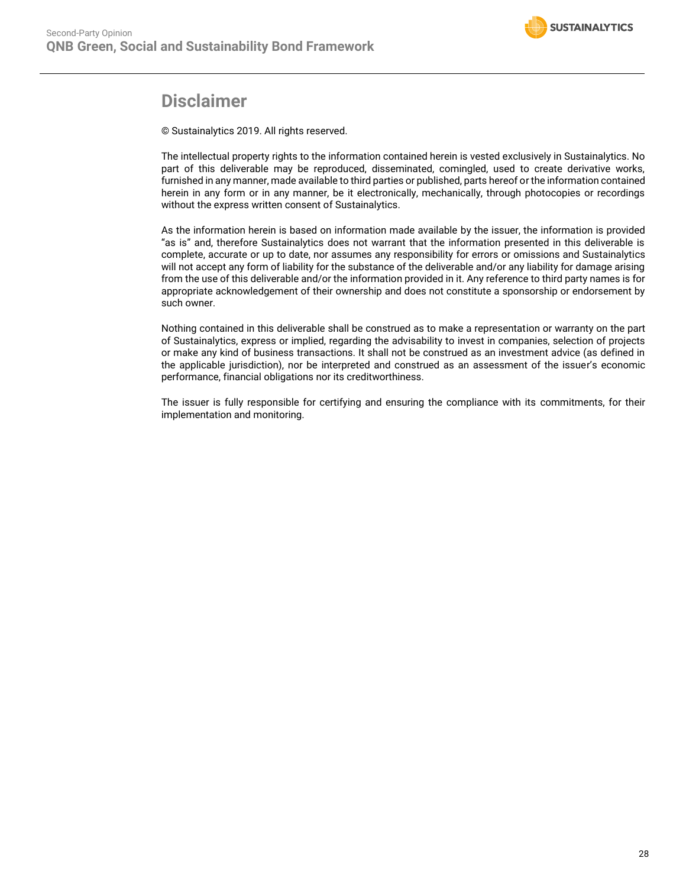# **Disclaimer**

© Sustainalytics 2019. All rights reserved.

The intellectual property rights to the information contained herein is vested exclusively in Sustainalytics. No part of this deliverable may be reproduced, disseminated, comingled, used to create derivative works, furnished in any manner, made available to third parties or published, parts hereof or the information contained herein in any form or in any manner, be it electronically, mechanically, through photocopies or recordings without the express written consent of Sustainalytics.

As the information herein is based on information made available by the issuer, the information is provided "as is" and, therefore Sustainalytics does not warrant that the information presented in this deliverable is complete, accurate or up to date, nor assumes any responsibility for errors or omissions and Sustainalytics will not accept any form of liability for the substance of the deliverable and/or any liability for damage arising from the use of this deliverable and/or the information provided in it. Any reference to third party names is for appropriate acknowledgement of their ownership and does not constitute a sponsorship or endorsement by such owner.

Nothing contained in this deliverable shall be construed as to make a representation or warranty on the part of Sustainalytics, express or implied, regarding the advisability to invest in companies, selection of projects or make any kind of business transactions. It shall not be construed as an investment advice (as defined in the applicable jurisdiction), nor be interpreted and construed as an assessment of the issuer's economic performance, financial obligations nor its creditworthiness.

The issuer is fully responsible for certifying and ensuring the compliance with its commitments, for their implementation and monitoring.